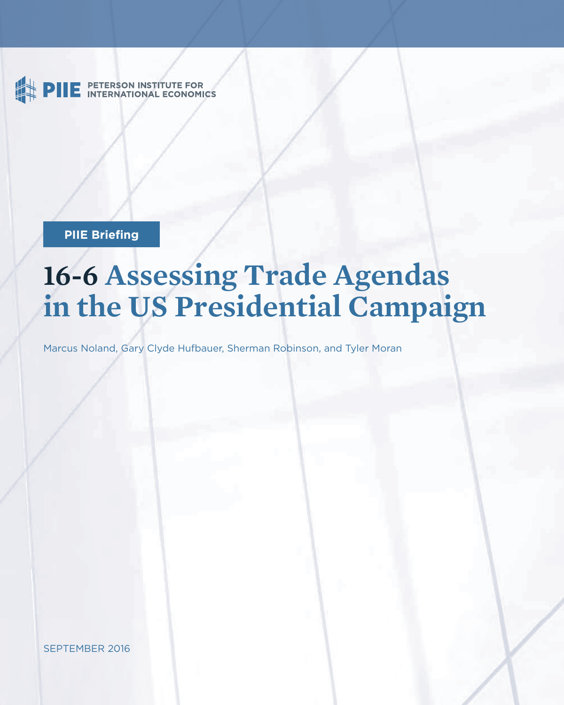PETERSON INSTITUTE FOR<br>INTERNATIONAL ECONOMICS

**PIIE Briefing** 

# **16-6 Assessing Trade Agendas in the US Presidential Campaign**

Marcus Noland, Gary Clyde Hufbauer, Sherman Robinson, and Tyler Moran

SEPTEMBER 2016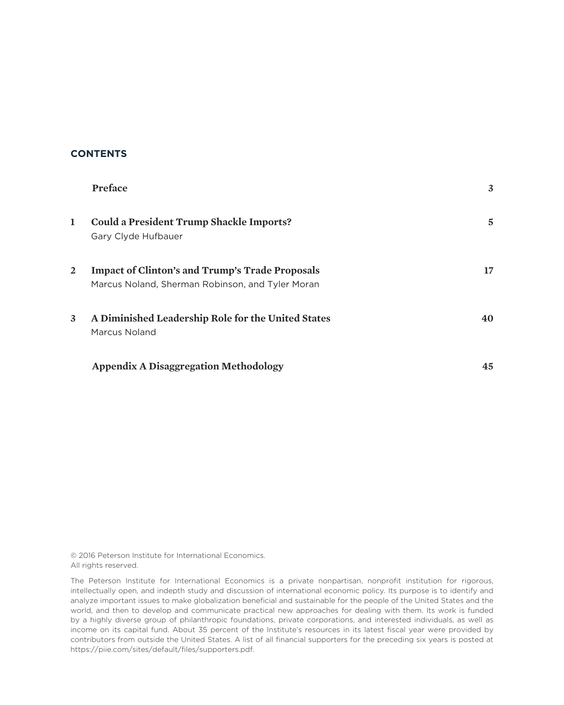### **CONTENTS**

|   | <b>Preface</b>                                                                                             | 3  |
|---|------------------------------------------------------------------------------------------------------------|----|
| ı | <b>Could a President Trump Shackle Imports?</b><br>Gary Clyde Hufbauer                                     | 5  |
| 2 | <b>Impact of Clinton's and Trump's Trade Proposals</b><br>Marcus Noland, Sherman Robinson, and Tyler Moran | 17 |
| 3 | A Diminished Leadership Role for the United States<br>Marcus Noland                                        | 40 |
|   | <b>Appendix A Disaggregation Methodology</b>                                                               | 45 |

© 2016 Peterson Institute for International Economics. All rights reserved.

The Peterson Institute for International Economics is a private nonpartisan, nonprofit institution for rigorous, intellectually open, and indepth study and discussion of international economic policy. Its purpose is to identify and analyze important issues to make globalization beneficial and sustainable for the people of the United States and the world, and then to develop and communicate practical new approaches for dealing with them. Its work is funded by a highly diverse group of philanthropic foundations, private corporations, and interested individuals, as well as income on its capital fund. About 35 percent of the Institute's resources in its latest fiscal year were provided by contributors from outside the United States. A list of all financial supporters for the preceding six years is posted at https://piie.com/sites/default/files/supporters.pdf.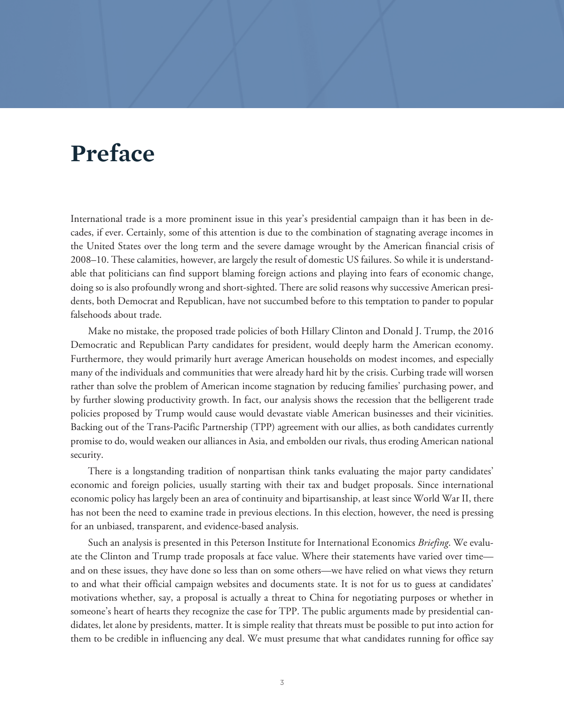## **Preface**

International trade is a more prominent issue in this year's presidential campaign than it has been in decades, if ever. Certainly, some of this attention is due to the combination of stagnating average incomes in the United States over the long term and the severe damage wrought by the American financial crisis of 2008–10. These calamities, however, are largely the result of domestic US failures. So while it is understandable that politicians can find support blaming foreign actions and playing into fears of economic change, doing so is also profoundly wrong and short-sighted. There are solid reasons why successive American presidents, both Democrat and Republican, have not succumbed before to this temptation to pander to popular falsehoods about trade.

Make no mistake, the proposed trade policies of both Hillary Clinton and Donald J. Trump, the 2016 Democratic and Republican Party candidates for president, would deeply harm the American economy. Furthermore, they would primarily hurt average American households on modest incomes, and especially many of the individuals and communities that were already hard hit by the crisis. Curbing trade will worsen rather than solve the problem of American income stagnation by reducing families' purchasing power, and by further slowing productivity growth. In fact, our analysis shows the recession that the belligerent trade policies proposed by Trump would cause would devastate viable American businesses and their vicinities. Backing out of the Trans-Pacific Partnership (TPP) agreement with our allies, as both candidates currently promise to do, would weaken our alliances in Asia, and embolden our rivals, thus eroding American national security.

There is a longstanding tradition of nonpartisan think tanks evaluating the major party candidates' economic and foreign policies, usually starting with their tax and budget proposals. Since international economic policy has largely been an area of continuity and bipartisanship, at least since World War II, there has not been the need to examine trade in previous elections. In this election, however, the need is pressing for an unbiased, transparent, and evidence-based analysis.

Such an analysis is presented in this Peterson Institute for International Economics *Briefing*. We evaluate the Clinton and Trump trade proposals at face value. Where their statements have varied over time and on these issues, they have done so less than on some others—we have relied on what views they return to and what their official campaign websites and documents state. It is not for us to guess at candidates' motivations whether, say, a proposal is actually a threat to China for negotiating purposes or whether in someone's heart of hearts they recognize the case for TPP. The public arguments made by presidential candidates, let alone by presidents, matter. It is simple reality that threats must be possible to put into action for them to be credible in influencing any deal. We must presume that what candidates running for office say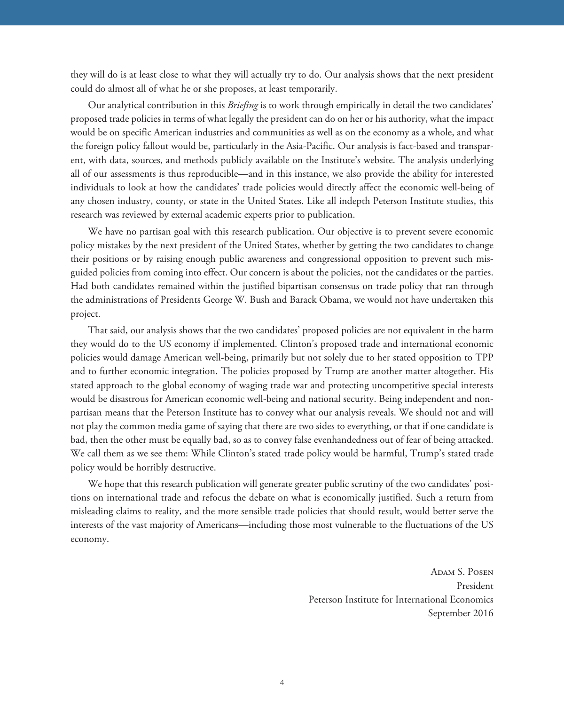they will do is at least close to what they will actually try to do. Our analysis shows that the next president could do almost all of what he or she proposes, at least temporarily.

Our analytical contribution in this *Briefing* is to work through empirically in detail the two candidates' proposed trade policies in terms of what legally the president can do on her or his authority, what the impact would be on specific American industries and communities as well as on the economy as a whole, and what the foreign policy fallout would be, particularly in the Asia-Pacific. Our analysis is fact-based and transparent, with data, sources, and methods publicly available on the Institute's website. The analysis underlying all of our assessments is thus reproducible—and in this instance, we also provide the ability for interested individuals to look at how the candidates' trade policies would directly affect the economic well-being of any chosen industry, county, or state in the United States. Like all indepth Peterson Institute studies, this research was reviewed by external academic experts prior to publication.

We have no partisan goal with this research publication. Our objective is to prevent severe economic policy mistakes by the next president of the United States, whether by getting the two candidates to change their positions or by raising enough public awareness and congressional opposition to prevent such misguided policies from coming into effect. Our concern is about the policies, not the candidates or the parties. Had both candidates remained within the justified bipartisan consensus on trade policy that ran through the administrations of Presidents George W. Bush and Barack Obama, we would not have undertaken this project.

That said, our analysis shows that the two candidates' proposed policies are not equivalent in the harm they would do to the US economy if implemented. Clinton's proposed trade and international economic policies would damage American well-being, primarily but not solely due to her stated opposition to TPP and to further economic integration. The policies proposed by Trump are another matter altogether. His stated approach to the global economy of waging trade war and protecting uncompetitive special interests would be disastrous for American economic well-being and national security. Being independent and nonpartisan means that the Peterson Institute has to convey what our analysis reveals. We should not and will not play the common media game of saying that there are two sides to everything, or that if one candidate is bad, then the other must be equally bad, so as to convey false evenhandedness out of fear of being attacked. We call them as we see them: While Clinton's stated trade policy would be harmful, Trump's stated trade policy would be horribly destructive.

We hope that this research publication will generate greater public scrutiny of the two candidates' positions on international trade and refocus the debate on what is economically justified. Such a return from misleading claims to reality, and the more sensible trade policies that should result, would better serve the interests of the vast majority of Americans—including those most vulnerable to the fluctuations of the US economy.

> ADAM S. POSEN President Peterson Institute for International Economics September 2016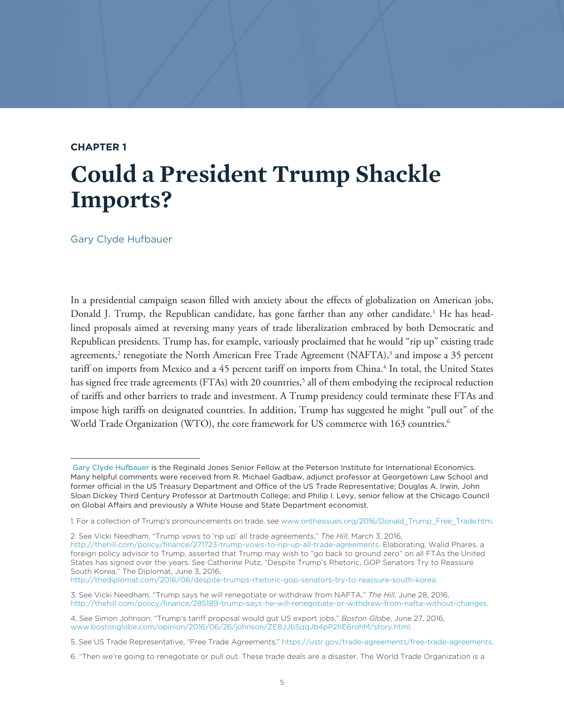## **CHAPTER 1**

## **Could a President Trump Shackle Imports?**

Gary Clyde Hufbauer

In a presidential campaign season filled with anxiety about the effects of globalization on American jobs, Donald J. Trump, the Republican candidate, has gone farther than any other candidate.<sup>1</sup> He has headlined proposals aimed at reversing many years of trade liberalization embraced by both Democratic and Republican presidents. Trump has, for example, variously proclaimed that he would "rip up" existing trade agreements,<sup>2</sup> renegotiate the North American Free Trade Agreement (NAFTA),<sup>3</sup> and impose a 35 percent tariff on imports from Mexico and a 45 percent tariff on imports from China.<sup>4</sup> In total, the United States has signed free trade agreements (FTAs) with 20 countries,<sup>5</sup> all of them embodying the reciprocal reduction of tariffs and other barriers to trade and investment. A Trump presidency could terminate these FTAs and impose high tariffs on designated countries. In addition, Trump has suggested he might "pull out" of the World Trade Organization (WTO), the core framework for US commerce with 163 countries.<sup>6</sup>

http://thediplomat.com/2016/06/despite-trumps-rhetoric-gop-senators-try-to-reassure-south-korea.

[Gary Clyde Hufbauer](https://piie.com/experts/senior-research-staff/gary-clyde-hufbauer) is the Reginald Jones Senior Fellow at the Peterson Institute for International Economics. Many helpful comments were received from R. Michael Gadbaw, adjunct professor at Georgetown Law School and former official in the US Treasury Department and Office of the US Trade Representative; Douglas A. Irwin, John Sloan Dickey Third Century Professor at Dartmouth College; and Philip I. Levy, senior fellow at the Chicago Council on Global Affairs and previously a White House and State Department economist.

<sup>1.</sup> For a collection of Trump's pronouncements on trade, see www.ontheissues.org/2016/Donald\_Trump\_Free\_Trade.htm.

<sup>2.</sup> See Vicki Needham, "Trump vows to 'rip up' all trade agreements," *The Hill*, March 3, 2016, http://thehill.com/policy/finance/271723-trump-vows-to-rip-up-all-trade-agreements. Elaborating, Walid Phares, a foreign policy advisor to Trump, asserted that Trump may wish to "go back to ground zero" on all FTAs the United States has signed over the years. See Catherine Putz, "Despite Trump's Rhetoric, GOP Senators Try to Reassure South Korea," The Diplomat, June 3, 2016,

<sup>3.</sup> See Vicki Needham, "Trump says he will renegotiate or withdraw from NAFTA," *The Hill,* June 28, 2016, http://thehill.com/policy/finance/285189-trump-says-he-will-renegotiate-or-withdraw-from-nafta-without-changes.

<sup>4.</sup> See Simon Johnson, "Trump's tariff proposal would gut US export jobs," *Boston Globe*, June 27, 2016, www.bostonglobe.com/opinion/2016/06/26/johnson/ZE8JJbSqqJb4pP2hE6rohM/story.html.

<sup>5.</sup> See US Trade Representative, "Free Trade Agreements," https://ustr.gov/trade-agreements/free-trade-agreements.

<sup>6. &</sup>quot;Then we're going to renegotiate or pull out. These trade deals are a disaster. The World Trade Organization is a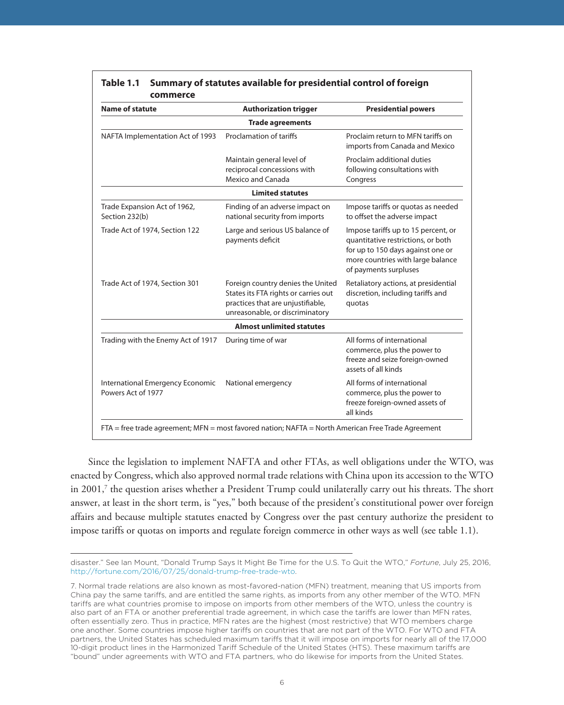| <b>Name of statute</b>                                 | <b>Authorization trigger</b>                                                                                                                      | <b>Presidential powers</b>                                                                                                                                                   |
|--------------------------------------------------------|---------------------------------------------------------------------------------------------------------------------------------------------------|------------------------------------------------------------------------------------------------------------------------------------------------------------------------------|
|                                                        | <b>Trade agreements</b>                                                                                                                           |                                                                                                                                                                              |
| NAFTA Implementation Act of 1993                       | Proclamation of tariffs                                                                                                                           | Proclaim return to MFN tariffs on<br>imports from Canada and Mexico                                                                                                          |
|                                                        | Maintain general level of<br>reciprocal concessions with<br>Mexico and Canada                                                                     | Proclaim additional duties<br>following consultations with<br>Congress                                                                                                       |
|                                                        | <b>Limited statutes</b>                                                                                                                           |                                                                                                                                                                              |
| Trade Expansion Act of 1962,<br>Section 232(b)         | Finding of an adverse impact on<br>national security from imports                                                                                 | Impose tariffs or quotas as needed<br>to offset the adverse impact                                                                                                           |
| Trade Act of 1974, Section 122                         | Large and serious US balance of<br>payments deficit                                                                                               | Impose tariffs up to 15 percent, or<br>quantitative restrictions, or both<br>for up to 150 days against one or<br>more countries with large balance<br>of payments surpluses |
| Trade Act of 1974, Section 301                         | Foreign country denies the United<br>States its FTA rights or carries out<br>practices that are unjustifiable,<br>unreasonable, or discriminatory | Retaliatory actions, at presidential<br>discretion, including tariffs and<br>quotas                                                                                          |
|                                                        | <b>Almost unlimited statutes</b>                                                                                                                  |                                                                                                                                                                              |
| Trading with the Enemy Act of 1917                     | During time of war                                                                                                                                | All forms of international<br>commerce, plus the power to<br>freeze and seize foreign-owned<br>assets of all kinds                                                           |
| International Emergency Economic<br>Powers Act of 1977 | National emergency                                                                                                                                | All forms of international<br>commerce, plus the power to<br>freeze foreign-owned assets of<br>all kinds                                                                     |

### **Table 1.1 Summary of statutes available for presidential control of foreign commerce**

Since the legislation to implement NAFTA and other FTAs, as well obligations under the WTO, was enacted by Congress, which also approved normal trade relations with China upon its accession to the WTO in 2001,<sup>7</sup> the question arises whether a President Trump could unilaterally carry out his threats. The short answer, at least in the short term, is "yes," both because of the president's constitutional power over foreign affairs and because multiple statutes enacted by Congress over the past century authorize the president to impose tariffs or quotas on imports and regulate foreign commerce in other ways as well (see table 1.1).

disaster." See Ian Mount, "Donald Trump Says It Might Be Time for the U.S. To Quit the WTO," *Fortune*, July 25, 2016, http://fortune.com/2016/07/25/donald-trump-free-trade-wto.

<sup>7.</sup> Normal trade relations are also known as most-favored-nation (MFN) treatment, meaning that US imports from China pay the same tariffs, and are entitled the same rights, as imports from any other member of the WTO. MFN tariffs are what countries promise to impose on imports from other members of the WTO, unless the country is also part of an FTA or another preferential trade agreement, in which case the tariffs are lower than MFN rates, often essentially zero. Thus in practice, MFN rates are the highest (most restrictive) that WTO members charge one another. Some countries impose higher tariffs on countries that are not part of the WTO. For WTO and FTA partners, the United States has scheduled maximum tariffs that it will impose on imports for nearly all of the 17,000 10-digit product lines in the Harmonized Tariff Schedule of the United States (HTS). These maximum tariffs are "bound" under agreements with WTO and FTA partners, who do likewise for imports from the United States.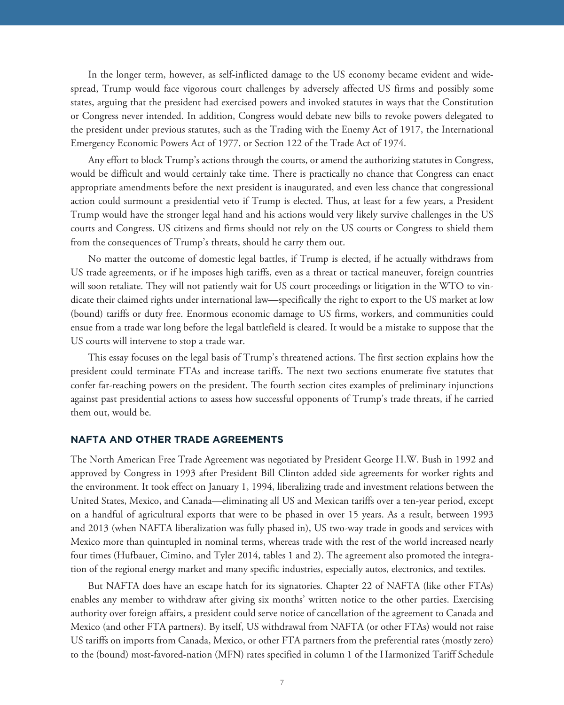In the longer term, however, as self-inflicted damage to the US economy became evident and widespread, Trump would face vigorous court challenges by adversely affected US firms and possibly some states, arguing that the president had exercised powers and invoked statutes in ways that the Constitution or Congress never intended. In addition, Congress would debate new bills to revoke powers delegated to the president under previous statutes, such as the Trading with the Enemy Act of 1917, the International Emergency Economic Powers Act of 1977, or Section 122 of the Trade Act of 1974.

Any effort to block Trump's actions through the courts, or amend the authorizing statutes in Congress, would be difficult and would certainly take time. There is practically no chance that Congress can enact appropriate amendments before the next president is inaugurated, and even less chance that congressional action could surmount a presidential veto if Trump is elected. Thus, at least for a few years, a President Trump would have the stronger legal hand and his actions would very likely survive challenges in the US courts and Congress. US citizens and firms should not rely on the US courts or Congress to shield them from the consequences of Trump's threats, should he carry them out.

No matter the outcome of domestic legal battles, if Trump is elected, if he actually withdraws from US trade agreements, or if he imposes high tariffs, even as a threat or tactical maneuver, foreign countries will soon retaliate. They will not patiently wait for US court proceedings or litigation in the WTO to vindicate their claimed rights under international law—specifically the right to export to the US market at low (bound) tariffs or duty free. Enormous economic damage to US firms, workers, and communities could ensue from a trade war long before the legal battlefield is cleared. It would be a mistake to suppose that the US courts will intervene to stop a trade war.

This essay focuses on the legal basis of Trump's threatened actions. The first section explains how the president could terminate FTAs and increase tariffs. The next two sections enumerate five statutes that confer far-reaching powers on the president. The fourth section cites examples of preliminary injunctions against past presidential actions to assess how successful opponents of Trump's trade threats, if he carried them out, would be.

#### **NAFTA AND OTHER TRADE AGREEMENTS**

The North American Free Trade Agreement was negotiated by President George H.W. Bush in 1992 and approved by Congress in 1993 after President Bill Clinton added side agreements for worker rights and the environment. It took effect on January 1, 1994, liberalizing trade and investment relations between the United States, Mexico, and Canada—eliminating all US and Mexican tariffs over a ten-year period, except on a handful of agricultural exports that were to be phased in over 15 years. As a result, between 1993 and 2013 (when NAFTA liberalization was fully phased in), US two-way trade in goods and services with Mexico more than quintupled in nominal terms, whereas trade with the rest of the world increased nearly four times (Hufbauer, Cimino, and Tyler 2014, tables 1 and 2). The agreement also promoted the integration of the regional energy market and many specific industries, especially autos, electronics, and textiles.

But NAFTA does have an escape hatch for its signatories. Chapter 22 of NAFTA (like other FTAs) enables any member to withdraw after giving six months' written notice to the other parties. Exercising authority over foreign affairs, a president could serve notice of cancellation of the agreement to Canada and Mexico (and other FTA partners). By itself, US withdrawal from NAFTA (or other FTAs) would not raise US tariffs on imports from Canada, Mexico, or other FTA partners from the preferential rates (mostly zero) to the (bound) most-favored-nation (MFN) rates specified in column 1 of the Harmonized Tariff Schedule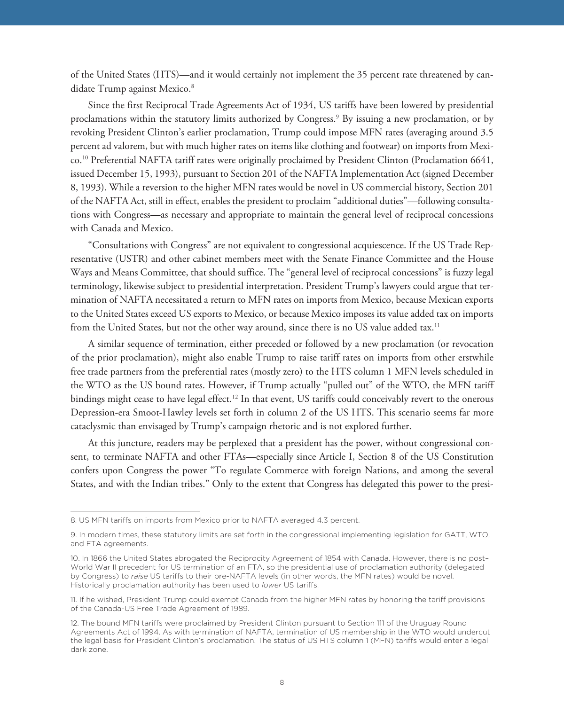of the United States (HTS)—and it would certainly not implement the 35 percent rate threatened by candidate Trump against Mexico.<sup>8</sup>

Since the first Reciprocal Trade Agreements Act of 1934, US tariffs have been lowered by presidential proclamations within the statutory limits authorized by Congress.9 By issuing a new proclamation, or by revoking President Clinton's earlier proclamation, Trump could impose MFN rates (averaging around 3.5 percent ad valorem, but with much higher rates on items like clothing and footwear) on imports from Mexico.10 Preferential NAFTA tariff rates were originally proclaimed by President Clinton (Proclamation 6641, issued December 15, 1993), pursuant to Section 201 of the NAFTA Implementation Act (signed December 8, 1993). While a reversion to the higher MFN rates would be novel in US commercial history, Section 201 of the NAFTA Act, still in effect, enables the president to proclaim "additional duties"—following consultations with Congress—as necessary and appropriate to maintain the general level of reciprocal concessions with Canada and Mexico.

"Consultations with Congress" are not equivalent to congressional acquiescence. If the US Trade Representative (USTR) and other cabinet members meet with the Senate Finance Committee and the House Ways and Means Committee, that should suffice. The "general level of reciprocal concessions" is fuzzy legal terminology, likewise subject to presidential interpretation. President Trump's lawyers could argue that termination of NAFTA necessitated a return to MFN rates on imports from Mexico, because Mexican exports to the United States exceed US exports to Mexico, or because Mexico imposes its value added tax on imports from the United States, but not the other way around, since there is no US value added tax.<sup>11</sup>

A similar sequence of termination, either preceded or followed by a new proclamation (or revocation of the prior proclamation), might also enable Trump to raise tariff rates on imports from other erstwhile free trade partners from the preferential rates (mostly zero) to the HTS column 1 MFN levels scheduled in the WTO as the US bound rates. However, if Trump actually "pulled out" of the WTO, the MFN tariff bindings might cease to have legal effect.12 In that event, US tariffs could conceivably revert to the onerous Depression-era Smoot-Hawley levels set forth in column 2 of the US HTS. This scenario seems far more cataclysmic than envisaged by Trump's campaign rhetoric and is not explored further.

At this juncture, readers may be perplexed that a president has the power, without congressional consent, to terminate NAFTA and other FTAs—especially since Article I, Section 8 of the US Constitution confers upon Congress the power "To regulate Commerce with foreign Nations, and among the several States, and with the Indian tribes." Only to the extent that Congress has delegated this power to the presi-

<sup>8.</sup> US MFN tariffs on imports from Mexico prior to NAFTA averaged 4.3 percent.

<sup>9.</sup> In modern times, these statutory limits are set forth in the congressional implementing legislation for GATT, WTO, and FTA agreements.

<sup>10.</sup> In 1866 the United States abrogated the Reciprocity Agreement of 1854 with Canada. However, there is no post– World War II precedent for US termination of an FTA, so the presidential use of proclamation authority (delegated by Congress) to *raise* US tariffs to their pre-NAFTA levels (in other words, the MFN rates) would be novel. Historically proclamation authority has been used to *lower* US tariffs.

<sup>11.</sup> If he wished, President Trump could exempt Canada from the higher MFN rates by honoring the tariff provisions of the Canada-US Free Trade Agreement of 1989.

<sup>12.</sup> The bound MFN tariffs were proclaimed by President Clinton pursuant to Section 111 of the Uruguay Round Agreements Act of 1994. As with termination of NAFTA, termination of US membership in the WTO would undercut the legal basis for President Clinton's proclamation. The status of US HTS column 1 (MFN) tariffs would enter a legal dark zone.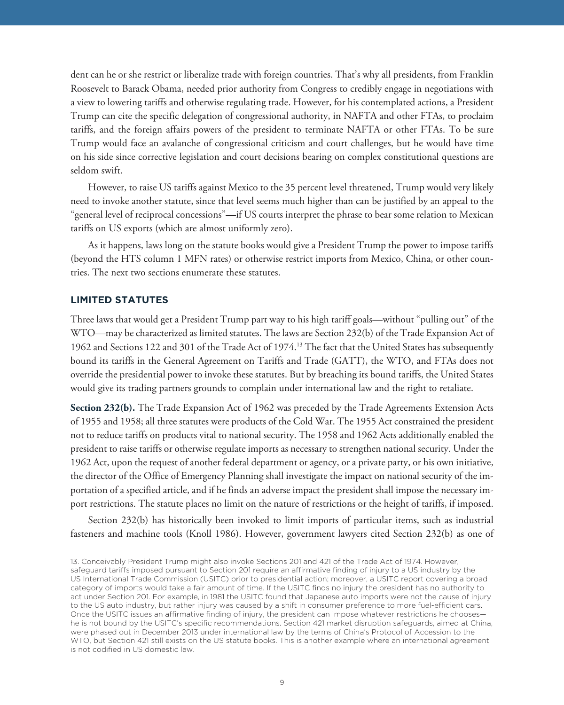dent can he or she restrict or liberalize trade with foreign countries. That's why all presidents, from Franklin Roosevelt to Barack Obama, needed prior authority from Congress to credibly engage in negotiations with a view to lowering tariffs and otherwise regulating trade. However, for his contemplated actions, a President Trump can cite the specific delegation of congressional authority, in NAFTA and other FTAs, to proclaim tariffs, and the foreign affairs powers of the president to terminate NAFTA or other FTAs. To be sure Trump would face an avalanche of congressional criticism and court challenges, but he would have time on his side since corrective legislation and court decisions bearing on complex constitutional questions are seldom swift.

However, to raise US tariffs against Mexico to the 35 percent level threatened, Trump would very likely need to invoke another statute, since that level seems much higher than can be justified by an appeal to the "general level of reciprocal concessions"—if US courts interpret the phrase to bear some relation to Mexican tariffs on US exports (which are almost uniformly zero).

As it happens, laws long on the statute books would give a President Trump the power to impose tariffs (beyond the HTS column 1 MFN rates) or otherwise restrict imports from Mexico, China, or other countries. The next two sections enumerate these statutes.

Three laws that would get a President Trump part way to his high tariff goals—without "pulling out" of the WTO—may be characterized as limited statutes. The laws are Section 232(b) of the Trade Expansion Act of 1962 and Sections 122 and 301 of the Trade Act of 1974.<sup>13</sup> The fact that the United States has subsequently bound its tariffs in the General Agreement on Tariffs and Trade (GATT), the WTO, and FTAs does not override the presidential power to invoke these statutes. But by breaching its bound tariffs, the United States would give its trading partners grounds to complain under international law and the right to retaliate.

Section 232(b). The Trade Expansion Act of 1962 was preceded by the Trade Agreements Extension Acts of 1955 and 1958; all three statutes were products of the Cold War. The 1955 Act constrained the president not to reduce tariffs on products vital to national security. The 1958 and 1962 Acts additionally enabled the president to raise tariffs or otherwise regulate imports as necessary to strengthen national security. Under the 1962 Act, upon the request of another federal department or agency, or a private party, or his own initiative, the director of the Office of Emergency Planning shall investigate the impact on national security of the importation of a specified article, and if he finds an adverse impact the president shall impose the necessary import restrictions. The statute places no limit on the nature of restrictions or the height of tariffs, if imposed.

Section 232(b) has historically been invoked to limit imports of particular items, such as industrial fasteners and machine tools (Knoll 1986). However, government lawyers cited Section 232(b) as one of

<sup>13.</sup> Conceivably President Trump might also invoke Sections 201 and 421 of the Trade Act of 1974. However, safeguard tariffs imposed pursuant to Section 201 require an affirmative finding of injury to a US industry by the US International Trade Commission (USITC) prior to presidential action; moreover, a USITC report covering a broad category of imports would take a fair amount of time. If the USITC finds no injury the president has no authority to act under Section 201. For example, in 1981 the USITC found that Japanese auto imports were not the cause of injury to the US auto industry, but rather injury was caused by a shift in consumer preference to more fuel-efficient cars. Once the USITC issues an affirmative finding of injury, the president can impose whatever restrictions he chooses he is not bound by the USITC's specific recommendations. Section 421 market disruption safeguards, aimed at China, were phased out in December 2013 under international law by the terms of China's Protocol of Accession to the WTO, but Section 421 still exists on the US statute books. This is another example where an international agreement is not codified in US domestic law.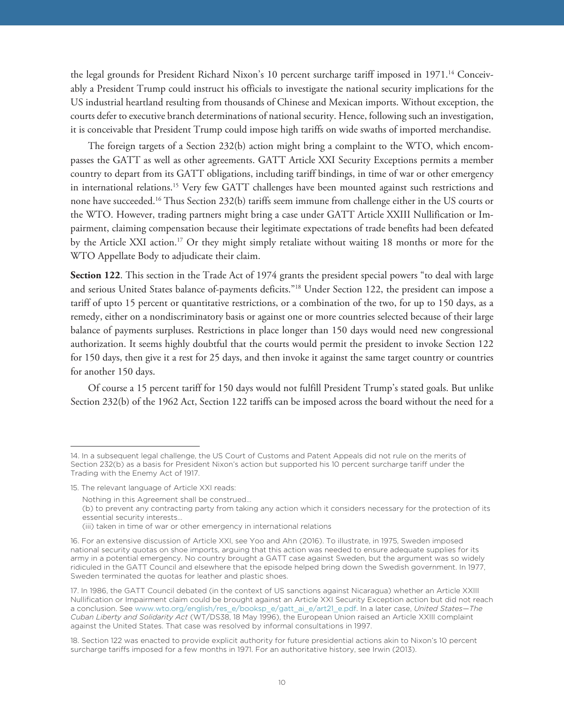the legal grounds for President Richard Nixon's 10 percent surcharge tariff imposed in 1971.<sup>14</sup> Conceivably a President Trump could instruct his officials to investigate the national security implications for the US industrial heartland resulting from thousands of Chinese and Mexican imports. Without exception, the courts defer to executive branch determinations of national security. Hence, following such an investigation, it is conceivable that President Trump could impose high tariffs on wide swaths of imported merchandise.

The foreign targets of a Section 232(b) action might bring a complaint to the WTO, which encompasses the GATT as well as other agreements. GATT Article XXI Security Exceptions permits a member country to depart from its GATT obligations, including tariff bindings, in time of war or other emergency in international relations.15 Very few GATT challenges have been mounted against such restrictions and none have succeeded.16 Thus Section 232(b) tariffs seem immune from challenge either in the US courts or the WTO. However, trading partners might bring a case under GATT Article XXIII Nullification or Impairment, claiming compensation because their legitimate expectations of trade benefits had been defeated by the Article XXI action.17 Or they might simply retaliate without waiting 18 months or more for the WTO Appellate Body to adjudicate their claim.

**Section 122**. This section in the Trade Act of 1974 grants the president special powers "to deal with large and serious United States balance of-payments deficits."18 Under Section 122, the president can impose a tariff of upto 15 percent or quantitative restrictions, or a combination of the two, for up to 150 days, as a remedy, either on a nondiscriminatory basis or against one or more countries selected because of their large balance of payments surpluses. Restrictions in place longer than 150 days would need new congressional authorization. It seems highly doubtful that the courts would permit the president to invoke Section 122 for 150 days, then give it a rest for 25 days, and then invoke it against the same target country or countries for another 150 days.

Of course a 15 percent tariff for 150 days would not fulfill President Trump's stated goals. But unlike Section 232(b) of the 1962 Act, Section 122 tariffs can be imposed across the board without the need for a

<sup>14.</sup> In a subsequent legal challenge, the US Court of Customs and Patent Appeals did not rule on the merits of Section 232(b) as a basis for President Nixon's action but supported his 10 percent surcharge tariff under the Trading with the Enemy Act of 1917.

<sup>15.</sup> The relevant language of Article XXI reads:

Nothing in this Agreement shall be construed…

<sup>(</sup>b) to prevent any contracting party from taking any action which it considers necessary for the protection of its essential security interests…

<sup>(</sup>iii) taken in time of war or other emergency in international relations

<sup>16.</sup> For an extensive discussion of Article XXI, see Yoo and Ahn (2016). To illustrate, in 1975, Sweden imposed national security quotas on shoe imports, arguing that this action was needed to ensure adequate supplies for its army in a potential emergency. No country brought a GATT case against Sweden, but the argument was so widely ridiculed in the GATT Council and elsewhere that the episode helped bring down the Swedish government. In 1977, Sweden terminated the quotas for leather and plastic shoes.

<sup>17.</sup> In 1986, the GATT Council debated (in the context of US sanctions against Nicaragua) whether an Article XXIII Nullification or Impairment claim could be brought against an Article XXI Security Exception action but did not reach a conclusion. See www.wto.org/english/res\_e/booksp\_e/gatt\_ai\_e/art21\_e.pdf. In a later case, *United States—The Cuban Liberty and Solidarity Act* (WT/DS38, 18 May 1996), the European Union raised an Article XXIII complaint against the United States. That case was resolved by informal consultations in 1997.

<sup>18.</sup> Section 122 was enacted to provide explicit authority for future presidential actions akin to Nixon's 10 percent surcharge tariffs imposed for a few months in 1971. For an authoritative history, see Irwin (2013).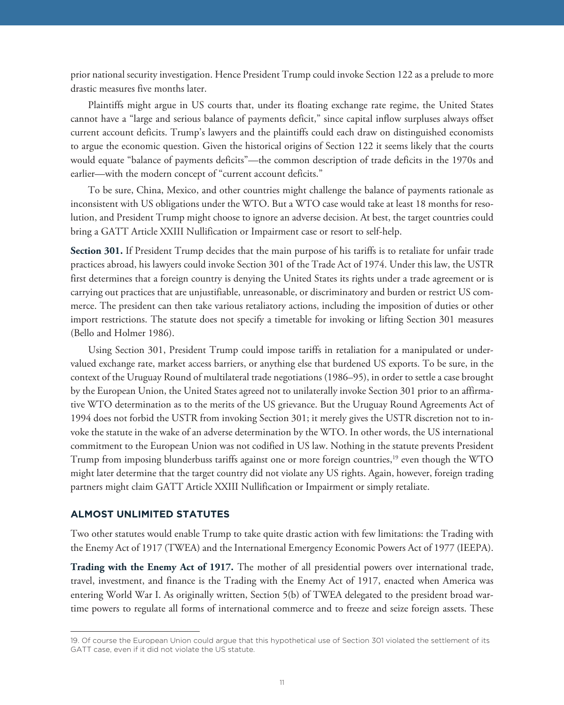prior national security investigation. Hence President Trump could invoke Section 122 as a prelude to more drastic measures five months later.

Plaintiffs might argue in US courts that, under its floating exchange rate regime, the United States cannot have a "large and serious balance of payments deficit," since capital inflow surpluses always offset current account deficits. Trump's lawyers and the plaintiffs could each draw on distinguished economists to argue the economic question. Given the historical origins of Section 122 it seems likely that the courts would equate "balance of payments deficits"—the common description of trade deficits in the 1970s and earlier—with the modern concept of "current account deficits."

To be sure, China, Mexico, and other countries might challenge the balance of payments rationale as inconsistent with US obligations under the WTO. But a WTO case would take at least 18 months for resolution, and President Trump might choose to ignore an adverse decision. At best, the target countries could bring a GATT Article XXIII Nullification or Impairment case or resort to self-help.

**Section 301.** If President Trump decides that the main purpose of his tariffs is to retaliate for unfair trade practices abroad, his lawyers could invoke Section 301 of the Trade Act of 1974. Under this law, the USTR first determines that a foreign country is denying the United States its rights under a trade agreement or is carrying out practices that are unjustifiable, unreasonable, or discriminatory and burden or restrict US commerce. The president can then take various retaliatory actions, including the imposition of duties or other import restrictions. The statute does not specify a timetable for invoking or lifting Section 301 measures (Bello and Holmer 1986).

Using Section 301, President Trump could impose tariffs in retaliation for a manipulated or undervalued exchange rate, market access barriers, or anything else that burdened US exports. To be sure, in the context of the Uruguay Round of multilateral trade negotiations (1986–95), in order to settle a case brought by the European Union, the United States agreed not to unilaterally invoke Section 301 prior to an affirmative WTO determination as to the merits of the US grievance. But the Uruguay Round Agreements Act of 1994 does not forbid the USTR from invoking Section 301; it merely gives the USTR discretion not to invoke the statute in the wake of an adverse determination by the WTO. In other words, the US international commitment to the European Union was not codified in US law. Nothing in the statute prevents President Trump from imposing blunderbuss tariffs against one or more foreign countries,19 even though the WTO might later determine that the target country did not violate any US rights. Again, however, foreign trading partners might claim GATT Article XXIII Nullification or Impairment or simply retaliate.

Two other statutes would enable Trump to take quite drastic action with few limitations: the Trading with the Enemy Act of 1917 (TWEA) and the International Emergency Economic Powers Act of 1977 (IEEPA).

**Trading with the Enemy Act of 1917.** The mother of all presidential powers over international trade, travel, investment, and finance is the Trading with the Enemy Act of 1917, enacted when America was entering World War I. As originally written, Section 5(b) of TWEA delegated to the president broad wartime powers to regulate all forms of international commerce and to freeze and seize foreign assets. These

<sup>19.</sup> Of course the European Union could argue that this hypothetical use of Section 301 violated the settlement of its GATT case, even if it did not violate the US statute.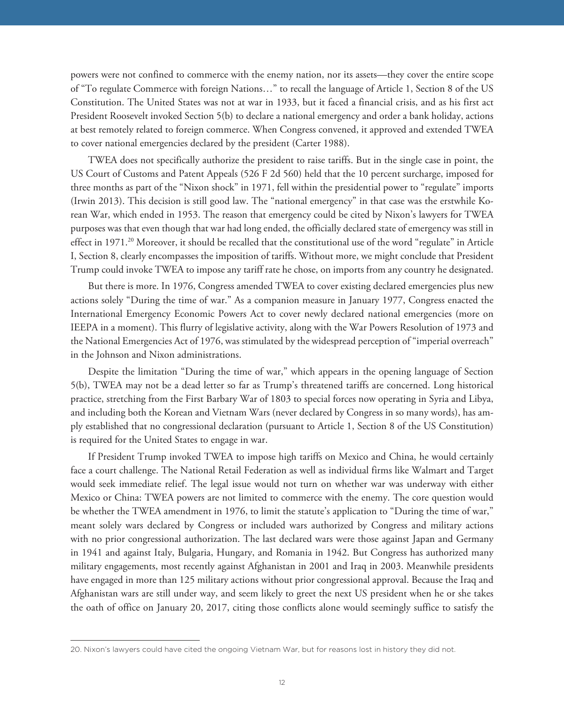powers were not confined to commerce with the enemy nation, nor its assets—they cover the entire scope of "To regulate Commerce with foreign Nations…" to recall the language of Article 1, Section 8 of the US Constitution. The United States was not at war in 1933, but it faced a financial crisis, and as his first act President Roosevelt invoked Section 5(b) to declare a national emergency and order a bank holiday, actions at best remotely related to foreign commerce. When Congress convened, it approved and extended TWEA to cover national emergencies declared by the president (Carter 1988).

TWEA does not specifically authorize the president to raise tariffs. But in the single case in point, the US Court of Customs and Patent Appeals (526 F 2d 560) held that the 10 percent surcharge, imposed for three months as part of the "Nixon shock" in 1971, fell within the presidential power to "regulate" imports (Irwin 2013). This decision is still good law. The "national emergency" in that case was the erstwhile Korean War, which ended in 1953. The reason that emergency could be cited by Nixon's lawyers for TWEA purposes was that even though that war had long ended, the officially declared state of emergency was still in effect in 1971.20 Moreover, it should be recalled that the constitutional use of the word "regulate" in Article I, Section 8, clearly encompasses the imposition of tariffs. Without more, we might conclude that President Trump could invoke TWEA to impose any tariff rate he chose, on imports from any country he designated.

But there is more. In 1976, Congress amended TWEA to cover existing declared emergencies plus new actions solely "During the time of war." As a companion measure in January 1977, Congress enacted the International Emergency Economic Powers Act to cover newly declared national emergencies (more on IEEPA in a moment). This flurry of legislative activity, along with the War Powers Resolution of 1973 and the National Emergencies Act of 1976, was stimulated by the widespread perception of "imperial overreach" in the Johnson and Nixon administrations.

Despite the limitation "During the time of war," which appears in the opening language of Section 5(b), TWEA may not be a dead letter so far as Trump's threatened tariffs are concerned. Long historical practice, stretching from the First Barbary War of 1803 to special forces now operating in Syria and Libya, and including both the Korean and Vietnam Wars (never declared by Congress in so many words), has amply established that no congressional declaration (pursuant to Article 1, Section 8 of the US Constitution) is required for the United States to engage in war.

If President Trump invoked TWEA to impose high tariffs on Mexico and China, he would certainly face a court challenge. The National Retail Federation as well as individual firms like Walmart and Target would seek immediate relief. The legal issue would not turn on whether war was underway with either Mexico or China: TWEA powers are not limited to commerce with the enemy. The core question would be whether the TWEA amendment in 1976, to limit the statute's application to "During the time of war," meant solely wars declared by Congress or included wars authorized by Congress and military actions with no prior congressional authorization. The last declared wars were those against Japan and Germany in 1941 and against Italy, Bulgaria, Hungary, and Romania in 1942. But Congress has authorized many military engagements, most recently against Afghanistan in 2001 and Iraq in 2003. Meanwhile presidents have engaged in more than 125 military actions without prior congressional approval. Because the Iraq and Afghanistan wars are still under way, and seem likely to greet the next US president when he or she takes the oath of office on January 20, 2017, citing those conflicts alone would seemingly suffice to satisfy the

<sup>20.</sup> Nixon's lawyers could have cited the ongoing Vietnam War, but for reasons lost in history they did not.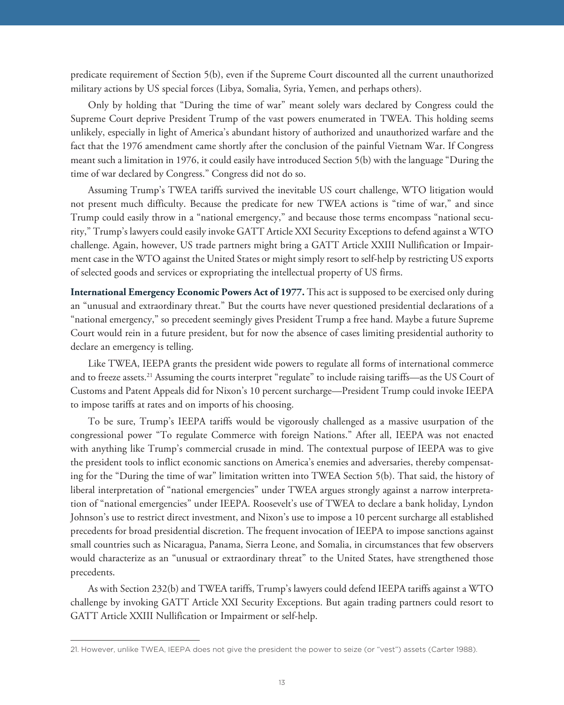predicate requirement of Section 5(b), even if the Supreme Court discounted all the current unauthorized military actions by US special forces (Libya, Somalia, Syria, Yemen, and perhaps others).

Only by holding that "During the time of war" meant solely wars declared by Congress could the Supreme Court deprive President Trump of the vast powers enumerated in TWEA. This holding seems unlikely, especially in light of America's abundant history of authorized and unauthorized warfare and the fact that the 1976 amendment came shortly after the conclusion of the painful Vietnam War. If Congress meant such a limitation in 1976, it could easily have introduced Section 5(b) with the language "During the time of war declared by Congress." Congress did not do so.

Assuming Trump's TWEA tariffs survived the inevitable US court challenge, WTO litigation would not present much difficulty. Because the predicate for new TWEA actions is "time of war," and since Trump could easily throw in a "national emergency," and because those terms encompass "national security," Trump's lawyers could easily invoke GATT Article XXI Security Exceptions to defend against a WTO challenge. Again, however, US trade partners might bring a GATT Article XXIII Nullification or Impairment case in the WTO against the United States or might simply resort to self-help by restricting US exports of selected goods and services or expropriating the intellectual property of US firms.

**International Emergency Economic Powers Act of 1977.** This act is supposed to be exercised only during an "unusual and extraordinary threat." But the courts have never questioned presidential declarations of a "national emergency," so precedent seemingly gives President Trump a free hand. Maybe a future Supreme Court would rein in a future president, but for now the absence of cases limiting presidential authority to declare an emergency is telling.

Like TWEA, IEEPA grants the president wide powers to regulate all forms of international commerce and to freeze assets.21 Assuming the courts interpret "regulate" to include raising tariffs—as the US Court of Customs and Patent Appeals did for Nixon's 10 percent surcharge—President Trump could invoke IEEPA to impose tariffs at rates and on imports of his choosing.

To be sure, Trump's IEEPA tariffs would be vigorously challenged as a massive usurpation of the congressional power "To regulate Commerce with foreign Nations." After all, IEEPA was not enacted with anything like Trump's commercial crusade in mind. The contextual purpose of IEEPA was to give the president tools to inflict economic sanctions on America's enemies and adversaries, thereby compensating for the "During the time of war" limitation written into TWEA Section 5(b). That said, the history of liberal interpretation of "national emergencies" under TWEA argues strongly against a narrow interpretation of "national emergencies" under IEEPA. Roosevelt's use of TWEA to declare a bank holiday, Lyndon Johnson's use to restrict direct investment, and Nixon's use to impose a 10 percent surcharge all established precedents for broad presidential discretion. The frequent invocation of IEEPA to impose sanctions against small countries such as Nicaragua, Panama, Sierra Leone, and Somalia, in circumstances that few observers would characterize as an "unusual or extraordinary threat" to the United States, have strengthened those precedents.

As with Section 232(b) and TWEA tariffs, Trump's lawyers could defend IEEPA tariffs against a WTO challenge by invoking GATT Article XXI Security Exceptions. But again trading partners could resort to GATT Article XXIII Nullification or Impairment or self-help.

<sup>21.</sup> However, unlike TWEA, IEEPA does not give the president the power to seize (or "vest") assets (Carter 1988).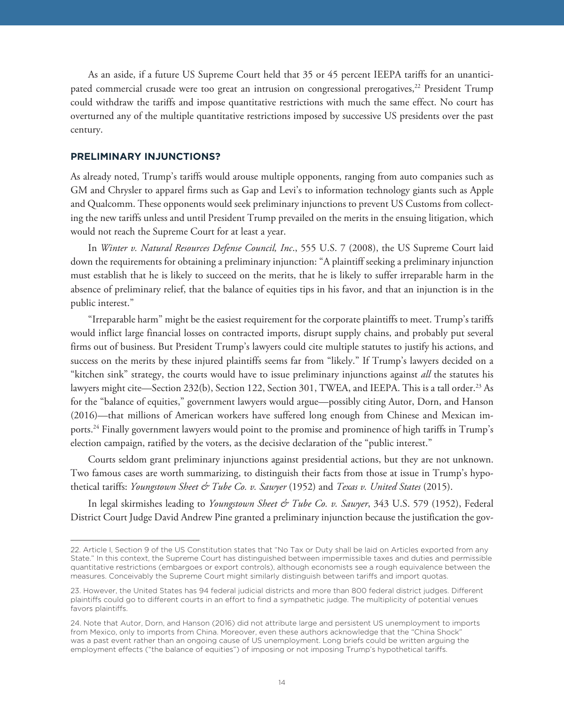As an aside, if a future US Supreme Court held that 35 or 45 percent IEEPA tariffs for an unanticipated commercial crusade were too great an intrusion on congressional prerogatives,<sup>22</sup> President Trump could withdraw the tariffs and impose quantitative restrictions with much the same effect. No court has overturned any of the multiple quantitative restrictions imposed by successive US presidents over the past century.

#### **PRELIMINARY INJUNCTIONS?**

As already noted, Trump's tariffs would arouse multiple opponents, ranging from auto companies such as GM and Chrysler to apparel firms such as Gap and Levi's to information technology giants such as Apple and Qualcomm. These opponents would seek preliminary injunctions to prevent US Customs from collecting the new tariffs unless and until President Trump prevailed on the merits in the ensuing litigation, which would not reach the Supreme Court for at least a year.

In *Winter v. Natural Resources Defense Council, Inc*., 555 U.S. 7 (2008), the US Supreme Court laid down the requirements for obtaining a preliminary injunction: "A plaintiff seeking a preliminary injunction must establish that he is likely to succeed on the merits, that he is likely to suffer irreparable harm in the absence of preliminary relief, that the balance of equities tips in his favor, and that an injunction is in the public interest."

"Irreparable harm" might be the easiest requirement for the corporate plaintiffs to meet. Trump's tariffs would inflict large financial losses on contracted imports, disrupt supply chains, and probably put several firms out of business. But President Trump's lawyers could cite multiple statutes to justify his actions, and success on the merits by these injured plaintiffs seems far from "likely." If Trump's lawyers decided on a "kitchen sink" strategy, the courts would have to issue preliminary injunctions against *all* the statutes his lawyers might cite—Section 232(b), Section 122, Section 301, TWEA, and IEEPA. This is a tall order.<sup>23</sup> As for the "balance of equities," government lawyers would argue—possibly citing Autor, Dorn, and Hanson (2016)—that millions of American workers have suffered long enough from Chinese and Mexican imports.24 Finally government lawyers would point to the promise and prominence of high tariffs in Trump's election campaign, ratified by the voters, as the decisive declaration of the "public interest."

Courts seldom grant preliminary injunctions against presidential actions, but they are not unknown. Two famous cases are worth summarizing, to distinguish their facts from those at issue in Trump's hypothetical tariffs: *Youngstown Sheet & Tube Co. v. Sawyer* (1952) and *Texas v. United States* (2015).

In legal skirmishes leading to *Youngstown Sheet & Tube Co. v. Sawyer*, 343 U.S. 579 (1952), Federal District Court Judge David Andrew Pine granted a preliminary injunction because the justification the gov-

<sup>22.</sup> Article I, Section 9 of the US Constitution states that "No Tax or Duty shall be laid on Articles exported from any State." In this context, the Supreme Court has distinguished between impermissible taxes and duties and permissible quantitative restrictions (embargoes or export controls), although economists see a rough equivalence between the measures. Conceivably the Supreme Court might similarly distinguish between tariffs and import quotas.

<sup>23.</sup> However, the United States has 94 federal judicial districts and more than 800 federal district judges. Different plaintiffs could go to different courts in an effort to find a sympathetic judge. The multiplicity of potential venues favors plaintiffs.

<sup>24.</sup> Note that Autor, Dorn, and Hanson (2016) did not attribute large and persistent US unemployment to imports from Mexico, only to imports from China. Moreover, even these authors acknowledge that the "China Shock" was a past event rather than an ongoing cause of US unemployment. Long briefs could be written arguing the employment effects ("the balance of equities") of imposing or not imposing Trump's hypothetical tariffs.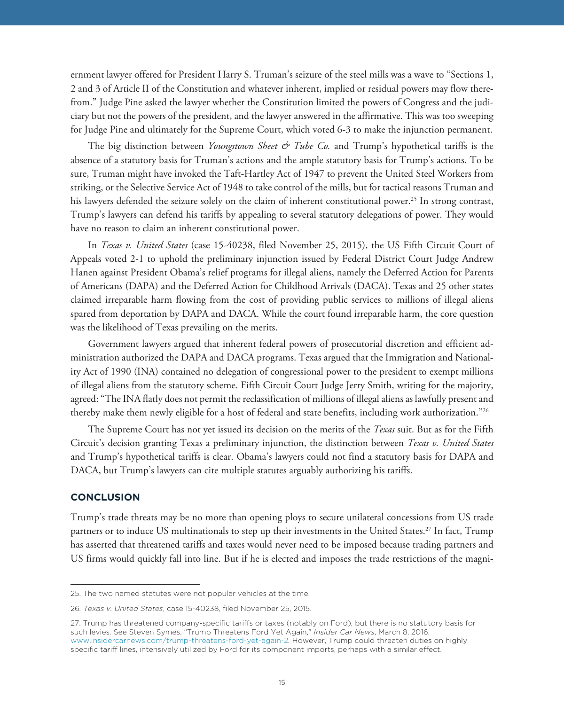ernment lawyer offered for President Harry S. Truman's seizure of the steel mills was a wave to "Sections 1, 2 and 3 of Article II of the Constitution and whatever inherent, implied or residual powers may flow therefrom." Judge Pine asked the lawyer whether the Constitution limited the powers of Congress and the judiciary but not the powers of the president, and the lawyer answered in the affirmative. This was too sweeping for Judge Pine and ultimately for the Supreme Court, which voted 6-3 to make the injunction permanent.

The big distinction between *Youngstown Sheet & Tube Co.* and Trump's hypothetical tariffs is the absence of a statutory basis for Truman's actions and the ample statutory basis for Trump's actions. To be sure, Truman might have invoked the Taft-Hartley Act of 1947 to prevent the United Steel Workers from striking, or the Selective Service Act of 1948 to take control of the mills, but for tactical reasons Truman and his lawyers defended the seizure solely on the claim of inherent constitutional power.<sup>25</sup> In strong contrast, Trump's lawyers can defend his tariffs by appealing to several statutory delegations of power. They would have no reason to claim an inherent constitutional power.

In *Texas v. United States* (case 15-40238, filed November 25, 2015), the US Fifth Circuit Court of Appeals voted 2-1 to uphold the preliminary injunction issued by Federal District Court Judge Andrew Hanen against President Obama's relief programs for illegal aliens, namely the Deferred Action for Parents of Americans (DAPA) and the Deferred Action for Childhood Arrivals (DACA). Texas and 25 other states claimed irreparable harm flowing from the cost of providing public services to millions of illegal aliens spared from deportation by DAPA and DACA. While the court found irreparable harm, the core question was the likelihood of Texas prevailing on the merits.

Government lawyers argued that inherent federal powers of prosecutorial discretion and efficient administration authorized the DAPA and DACA programs. Texas argued that the Immigration and Nationality Act of 1990 (INA) contained no delegation of congressional power to the president to exempt millions of illegal aliens from the statutory scheme. Fifth Circuit Court Judge Jerry Smith, writing for the majority, agreed: "The INA flatly does not permit the reclassification of millions of illegal aliens as lawfully present and thereby make them newly eligible for a host of federal and state benefits, including work authorization."26

The Supreme Court has not yet issued its decision on the merits of the *Texas* suit. But as for the Fifth Circuit's decision granting Texas a preliminary injunction, the distinction between *Texas v. United States* and Trump's hypothetical tariffs is clear. Obama's lawyers could not find a statutory basis for DAPA and DACA, but Trump's lawyers can cite multiple statutes arguably authorizing his tariffs.

#### **CONCLUSION**

Trump's trade threats may be no more than opening ploys to secure unilateral concessions from US trade partners or to induce US multinationals to step up their investments in the United States.<sup>27</sup> In fact, Trump has asserted that threatened tariffs and taxes would never need to be imposed because trading partners and US firms would quickly fall into line. But if he is elected and imposes the trade restrictions of the magni-

<sup>25.</sup> The two named statutes were not popular vehicles at the time.

<sup>26</sup>*. Texas v. United States*, case 15-40238, filed November 25, 2015.

<sup>27.</sup> Trump has threatened company-specific tariffs or taxes (notably on Ford), but there is no statutory basis for such levies. See Steven Symes, "Trump Threatens Ford Yet Again," *Insider Car News*, March 8, 2016, www.insidercarnews.com/trump-threatens-ford-yet-again-2*.* However, Trump could threaten duties on highly specific tariff lines, intensively utilized by Ford for its component imports, perhaps with a similar effect.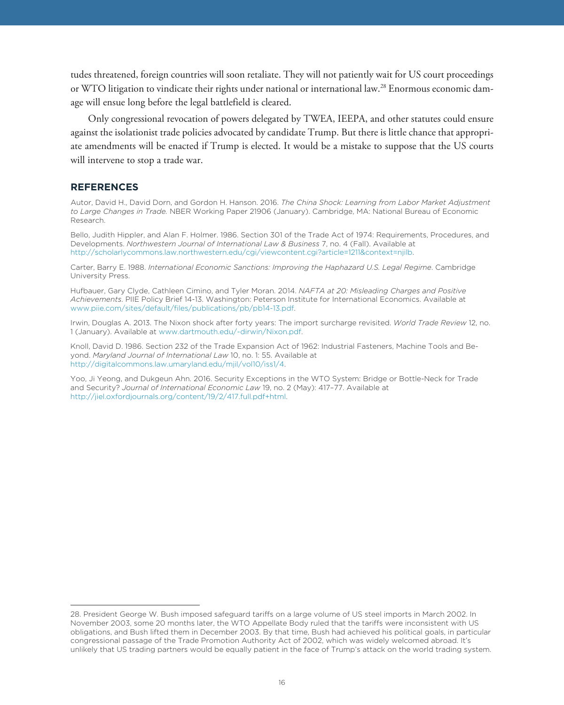tudes threatened, foreign countries will soon retaliate. They will not patiently wait for US court proceedings or WTO litigation to vindicate their rights under national or international law.28 Enormous economic damage will ensue long before the legal battlefield is cleared.

Only congressional revocation of powers delegated by TWEA, IEEPA, and other statutes could ensure against the isolationist trade policies advocated by candidate Trump. But there is little chance that appropriate amendments will be enacted if Trump is elected. It would be a mistake to suppose that the US courts will intervene to stop a trade war.

#### **REFERENCES**

**REFERENCES** Autor, David H., David Dorn, and Gordon H. Hanson. 2016. *The China Shock: Learning from Labor Market Adjustment to Large Changes in Trade.* NBER Working Paper 21906 (January). Cambridge, MA: National Bureau of Economic Research.

Bello, Judith Hippler, and Alan F. Holmer. 1986. Section 301 of the Trade Act of 1974: Requirements, Procedures, and Developments. *Northwestern Journal of International Law & Business* 7, no. 4 (Fall). Available at http://scholarlycommons.law.northwestern.edu/cgi/viewcontent.cgi?article=1211&context=njilb.

Carter, Barry E. 1988. *International Economic Sanctions: Improving the Haphazard U.S. Legal Regime*. Cambridge University Press.

Hufbauer, Gary Clyde, Cathleen Cimino, and Tyler Moran. 2014. *NAFTA at 20: Misleading Charges and Positive Achievements*. PIIE Policy Brief 14-13. Washington: Peterson Institute for International Economics. Available at www.piie.com/sites/default/files/publications/pb/pb14-13.pdf.

Irwin, Douglas A. 2013. The Nixon shock after forty years: The import surcharge revisited. *World Trade Review* 12, no. 1 (January). Available at www.dartmouth.edu/~dirwin/Nixon.pdf.

Knoll, David D. 1986. Section 232 of the Trade Expansion Act of 1962: Industrial Fasteners, Machine Tools and Beyond. *Maryland Journal of International Law* 10, no. 1: 55. Available at http://digitalcommons.law.umaryland.edu/mjil/vol10/iss1/4.

Yoo, Ji Yeong, and Dukgeun Ahn. 2016. Security Exceptions in the WTO System: Bridge or Bottle-Neck for Trade and Security? *Journal of International Economic Law* 19, no. 2 (May): 417–77. Available at http://jiel.oxfordjournals.org/content/19/2/417.full.pdf+html.

<sup>28.</sup> President George W. Bush imposed safeguard tariffs on a large volume of US steel imports in March 2002. In November 2003, some 20 months later, the WTO Appellate Body ruled that the tariffs were inconsistent with US obligations, and Bush lifted them in December 2003. By that time, Bush had achieved his political goals, in particular congressional passage of the Trade Promotion Authority Act of 2002, which was widely welcomed abroad. It's unlikely that US trading partners would be equally patient in the face of Trump's attack on the world trading system.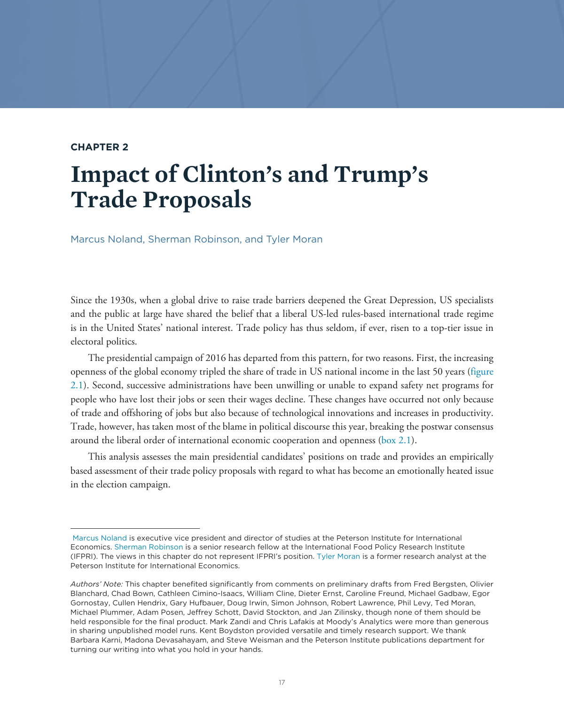### **CHAPTER 2**

## **Impact of Clinton's and Trump's Trade Proposals**

Marcus Noland, Sherman Robinson, and Tyler Moran

Since the 1930s, when a global drive to raise trade barriers deepened the Great Depression, US specialists and the public at large have shared the belief that a liberal US-led rules-based international trade regime is in the United States' national interest. Trade policy has thus seldom, if ever, risen to a top-tier issue in electoral politics.

The presidential campaign of 2016 has departed from this pattern, for two reasons. First, the increasing openness of the global economy tripled the share of trade in US national income in the last 50 years ([figure](#page-17-0) [2.1](#page-17-0)). Second, successive administrations have been unwilling or unable to expand safety net programs for people who have lost their jobs or seen their wages decline. These changes have occurred not only because of trade and offshoring of jobs but also because of technological innovations and increases in productivity. Trade, however, has taken most of the blame in political discourse this year, breaking the postwar consensus around the liberal order of international economic cooperation and openness [\(box 2.1](#page-18-0)).

This analysis assesses the main presidential candidates' positions on trade and provides an empirically based assessment of their trade policy proposals with regard to what has become an emotionally heated issue in the election campaign.

[Marcus Noland](https://piie.com/experts/senior-research-staff/marcus-noland) is executive vice president and director of studies at the Peterson Institute for International Economics. Sherman Robinson is a senior research fellow at the International Food Policy Research Institute (IFPRI). The views in this chapter do not represent IFPRI's position. [Tyler Moran](https://piie.com/experts/former-research-staff/tyler-moran) is a former research analyst at the Peterson Institute for International Economics.

*Authors' Note:* This chapter benefited significantly from comments on preliminary drafts from Fred Bergsten, Olivier Blanchard, Chad Bown, Cathleen Cimino-Isaacs, William Cline, Dieter Ernst, Caroline Freund, Michael Gadbaw, Egor Gornostay, Cullen Hendrix, Gary Hufbauer, Doug Irwin, Simon Johnson, Robert Lawrence, Phil Levy, Ted Moran, Michael Plummer, Adam Posen, Jeffrey Schott, David Stockton, and Jan Zilinsky, though none of them should be held responsible for the final product. Mark Zandi and Chris Lafakis at Moody's Analytics were more than generous in sharing unpublished model runs. Kent Boydston provided versatile and timely research support. We thank Barbara Karni, Madona Devasahayam, and Steve Weisman and the Peterson Institute publications department for turning our writing into what you hold in your hands.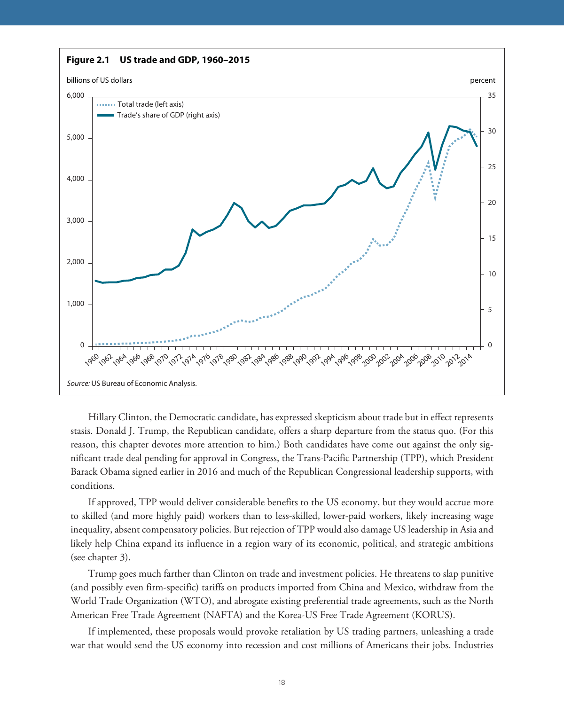<span id="page-17-0"></span>

Hillary Clinton, the Democratic candidate, has expressed skepticism about trade but in effect represents stasis. Donald J. Trump, the Republican candidate, offers a sharp departure from the status quo. (For this reason, this chapter devotes more attention to him.) Both candidates have come out against the only significant trade deal pending for approval in Congress, the Trans-Pacific Partnership (TPP), which President Barack Obama signed earlier in 2016 and much of the Republican Congressional leadership supports, with conditions.

If approved, TPP would deliver considerable benefits to the US economy, but they would accrue more to skilled (and more highly paid) workers than to less-skilled, lower-paid workers, likely increasing wage inequality, absent compensatory policies. But rejection of TPP would also damage US leadership in Asia and likely help China expand its influence in a region wary of its economic, political, and strategic ambitions (see chapter 3).

Trump goes much farther than Clinton on trade and investment policies. He threatens to slap punitive (and possibly even firm-specific) tariffs on products imported from China and Mexico, withdraw from the World Trade Organization (WTO), and abrogate existing preferential trade agreements, such as the North American Free Trade Agreement (NAFTA) and the Korea-US Free Trade Agreement (KORUS).

If implemented, these proposals would provoke retaliation by US trading partners, unleashing a trade war that would send the US economy into recession and cost millions of Americans their jobs. Industries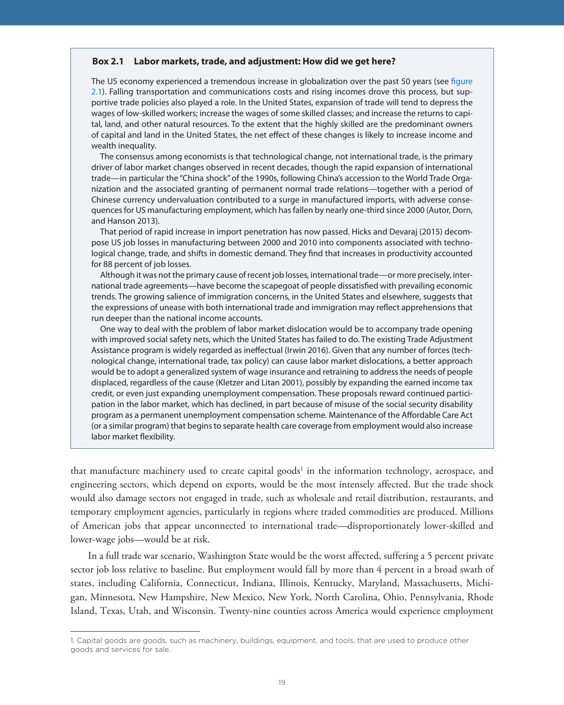#### <span id="page-18-0"></span>**Box 2.1 Labor markets, trade, and adjustment: How did we get here?**

The US economy experienced a tremendous increase in globalization over the past 50 years (see [figure](#page-17-0)  [2.1](#page-17-0)). Falling transportation and communications costs and rising incomes drove this process, but supportive trade policies also played a role. In the United States, expansion of trade will tend to depress the wages of low-skilled workers; increase the wages of some skilled classes; and increase the returns to capital, land, and other natural resources. To the extent that the highly skilled are the predominant owners of capital and land in the United States, the net effect of these changes is likely to increase income and wealth inequality.

The consensus among economists is that technological change, not international trade, is the primary driver of labor market changes observed in recent decades, though the rapid expansion of international trade—in particular the "China shock" of the 1990s, following China's accession to the World Trade Organization and the associated granting of permanent normal trade relations—together with a period of Chinese currency undervaluation contributed to a surge in manufactured imports, with adverse consequences for US manufacturing employment, which has fallen by nearly one-third since 2000 (Autor, Dorn, and Hanson 2013).

That period of rapid increase in import penetration has now passed. Hicks and Devaraj (2015) decompose US job losses in manufacturing between 2000 and 2010 into components associated with technological change, trade, and shifts in domestic demand. They find that increases in productivity accounted for 88 percent of job losses.

Although it was not the primary cause of recent job losses, international trade—or more precisely, international trade agreements—have become the scapegoat of people dissatisfied with prevailing economic trends. The growing salience of immigration concerns, in the United States and elsewhere, suggests that the expressions of unease with both international trade and immigration may reflect apprehensions that run deeper than the national income accounts.

One way to deal with the problem of labor market dislocation would be to accompany trade opening with improved social safety nets, which the United States has failed to do. The existing Trade Adjustment Assistance program is widely regarded as ineffectual (Irwin 2016). Given that any number of forces (technological change, international trade, tax policy) can cause labor market dislocations, a better approach would be to adopt a generalized system of wage insurance and retraining to address the needs of people displaced, regardless of the cause (Kletzer and Litan 2001), possibly by expanding the earned income tax credit, or even just expanding unemployment compensation. These proposals reward continued participation in the labor market, which has declined, in part because of misuse of the social security disability program as a permanent unemployment compensation scheme. Maintenance of the Affordable Care Act (or a similar program) that begins to separate health care coverage from employment would also increase labor market flexibility.

that manufacture machinery used to create capital goods<sup>1</sup> in the information technology, aerospace, and engineering sectors, which depend on exports, would be the most intensely affected. But the trade shock would also damage sectors not engaged in trade, such as wholesale and retail distribution, restaurants, and temporary employment agencies, particularly in regions where traded commodities are produced. Millions of American jobs that appear unconnected to international trade—disproportionately lower-skilled and lower-wage jobs—would be at risk.

In a full trade war scenario, Washington State would be the worst affected, suffering a 5 percent private sector job loss relative to baseline. But employment would fall by more than 4 percent in a broad swath of states, including California, Connecticut, Indiana, Illinois, Kentucky, Maryland, Massachusetts, Michigan, Minnesota, New Hampshire, New Mexico, New York, North Carolina, Ohio, Pennsylvania, Rhode Island, Texas, Utah, and Wisconsin. Twenty-nine counties across America would experience employment

<sup>1.</sup> Capital goods are goods, such as machinery, buildings, equipment, and tools, that are used to produce other goods and services for sale.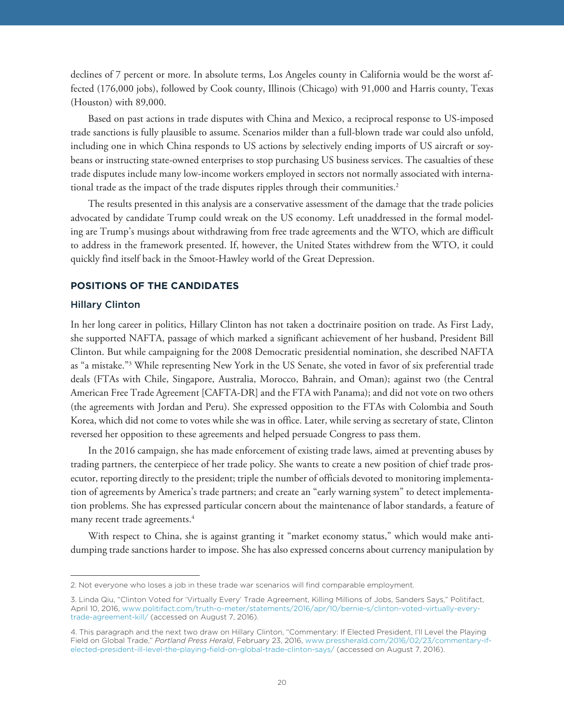declines of 7 percent or more. In absolute terms, Los Angeles county in California would be the worst affected (176,000 jobs), followed by Cook county, Illinois (Chicago) with 91,000 and Harris county, Texas (Houston) with 89,000.

Based on past actions in trade disputes with China and Mexico, a reciprocal response to US-imposed trade sanctions is fully plausible to assume. Scenarios milder than a full-blown trade war could also unfold, including one in which China responds to US actions by selectively ending imports of US aircraft or soybeans or instructing state-owned enterprises to stop purchasing US business services. The casualties of these trade disputes include many low-income workers employed in sectors not normally associated with international trade as the impact of the trade disputes ripples through their communities.<sup>2</sup>

The results presented in this analysis are a conservative assessment of the damage that the trade policies advocated by candidate Trump could wreak on the US economy. Left unaddressed in the formal modeling are Trump's musings about withdrawing from free trade agreements and the WTO, which are difficult to address in the framework presented. If, however, the United States withdrew from the WTO, it could quickly find itself back in the Smoot-Hawley world of the Great Depression.

### **POSITIONS OF THE CANDIDATES**

#### Hillary Clinton

In her long career in politics, Hillary Clinton has not taken a doctrinaire position on trade. As First Lady, she supported NAFTA, passage of which marked a significant achievement of her husband, President Bill Clinton. But while campaigning for the 2008 Democratic presidential nomination, she described NAFTA as "a mistake."3 While representing New York in the US Senate, she voted in favor of six preferential trade deals (FTAs with Chile, Singapore, Australia, Morocco, Bahrain, and Oman); against two (the Central American Free Trade Agreement [CAFTA-DR] and the FTA with Panama); and did not vote on two others (the agreements with Jordan and Peru). She expressed opposition to the FTAs with Colombia and South Korea, which did not come to votes while she was in office. Later, while serving as secretary of state, Clinton reversed her opposition to these agreements and helped persuade Congress to pass them.

In the 2016 campaign, she has made enforcement of existing trade laws, aimed at preventing abuses by trading partners, the centerpiece of her trade policy. She wants to create a new position of chief trade prosecutor, reporting directly to the president; triple the number of officials devoted to monitoring implementation of agreements by America's trade partners; and create an "early warning system" to detect implementation problems. She has expressed particular concern about the maintenance of labor standards, a feature of many recent trade agreements.<sup>4</sup>

With respect to China, she is against granting it "market economy status," which would make antidumping trade sanctions harder to impose. She has also expressed concerns about currency manipulation by

<sup>2.</sup> Not everyone who loses a job in these trade war scenarios will find comparable employment.

<sup>3.</sup> Linda Qiu, "Clinton Voted for 'Virtually Every' Trade Agreement, Killing Millions of Jobs, Sanders Says," Politifact, April 10, 2016, [www.politifact.com/truth-o-meter/statements/2016/apr/10/bernie-s/clinton-voted-virtually-every](www.politifact.com/truth-o-meter/statements/2016/apr/10/bernie-s/clinton-voted-virtually-every-trade-agreement-kill/)[trade-agreement-kill/](www.politifact.com/truth-o-meter/statements/2016/apr/10/bernie-s/clinton-voted-virtually-every-trade-agreement-kill/) (accessed on August 7, 2016).

<sup>4.</sup> This paragraph and the next two draw on Hillary Clinton, "Commentary: If Elected President, I'll Level the Playing Field on Global Trade," *Portland Press Herald*, February 23, 2016, [www.pressherald.com/2016/02/23/commentary-if](www.pressherald.com/2016/02/23/commentary-if-elected-president-ill-level-the-playing-field-on-global-trade-clinton-says/)[elected-president-ill-level-the-playing-field-on-global-trade-clinton-says/](www.pressherald.com/2016/02/23/commentary-if-elected-president-ill-level-the-playing-field-on-global-trade-clinton-says/) (accessed on August 7, 2016).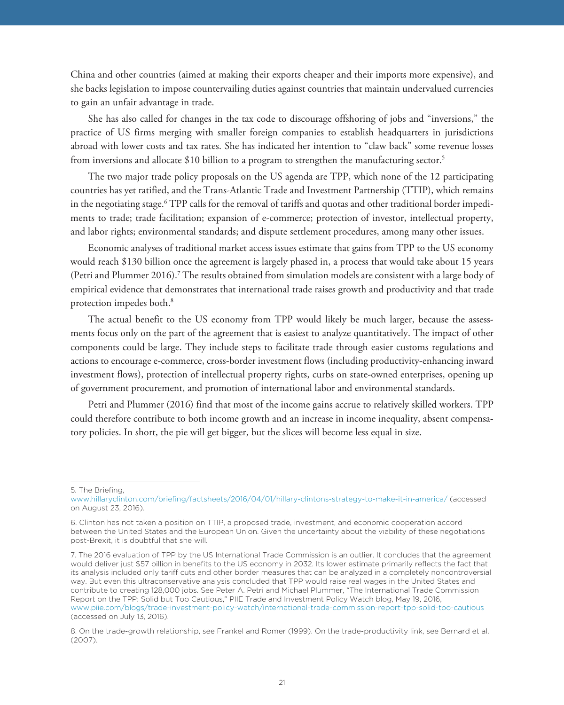China and other countries (aimed at making their exports cheaper and their imports more expensive), and she backs legislation to impose countervailing duties against countries that maintain undervalued currencies to gain an unfair advantage in trade.

She has also called for changes in the tax code to discourage offshoring of jobs and "inversions," the practice of US firms merging with smaller foreign companies to establish headquarters in jurisdictions abroad with lower costs and tax rates. She has indicated her intention to "claw back" some revenue losses from inversions and allocate \$10 billion to a program to strengthen the manufacturing sector.5

The two major trade policy proposals on the US agenda are TPP, which none of the 12 participating countries has yet ratified, and the Trans-Atlantic Trade and Investment Partnership (TTIP), which remains in the negotiating stage.6 TPP calls for the removal of tariffs and quotas and other traditional border impediments to trade; trade facilitation; expansion of e-commerce; protection of investor, intellectual property, and labor rights; environmental standards; and dispute settlement procedures, among many other issues.

Economic analyses of traditional market access issues estimate that gains from TPP to the US economy would reach \$130 billion once the agreement is largely phased in, a process that would take about 15 years (Petri and Plummer 2016).<sup>7</sup> The results obtained from simulation models are consistent with a large body of empirical evidence that demonstrates that international trade raises growth and productivity and that trade protection impedes both.8

The actual benefit to the US economy from TPP would likely be much larger, because the assessments focus only on the part of the agreement that is easiest to analyze quantitatively. The impact of other components could be large. They include steps to facilitate trade through easier customs regulations and actions to encourage e-commerce, cross-border investment flows (including productivity-enhancing inward investment flows), protection of intellectual property rights, curbs on state-owned enterprises, opening up of government procurement, and promotion of international labor and environmental standards.

Petri and Plummer (2016) find that most of the income gains accrue to relatively skilled workers. TPP could therefore contribute to both income growth and an increase in income inequality, absent compensatory policies. In short, the pie will get bigger, but the slices will become less equal in size.

<sup>5.</sup> The Briefing,

www.hillaryclinton.com/briefing/factsheets/2016/04/01/hillary-clintons-strategy-to-make-it-in-america/ (accessed on August 23, 2016).

<sup>6.</sup> Clinton has not taken a position on TTIP, a proposed trade, investment, and economic cooperation accord between the United States and the European Union. Given the uncertainty about the viability of these negotiations post-Brexit, it is doubtful that she will.

<sup>7.</sup> The 2016 evaluation of TPP by the US International Trade Commission is an outlier. It concludes that the agreement would deliver just \$57 billion in benefits to the US economy in 2032. Its lower estimate primarily reflects the fact that its analysis included only tariff cuts and other border measures that can be analyzed in a completely noncontroversial way. But even this ultraconservative analysis concluded that TPP would raise real wages in the United States and contribute to creating 128,000 jobs. See Peter A. Petri and Michael Plummer, "The International Trade Commission Report on the TPP: Solid but Too Cautious," PIIE Trade and Investment Policy Watch blog, May 19, 2016, www.piie.com/blogs/trade-investment-policy-watch/international-trade-commission-report-tpp-solid-too-cautious (accessed on July 13, 2016).

<sup>8.</sup> On the trade-growth relationship, see Frankel and Romer (1999). On the trade-productivity link, see Bernard et al. (2007).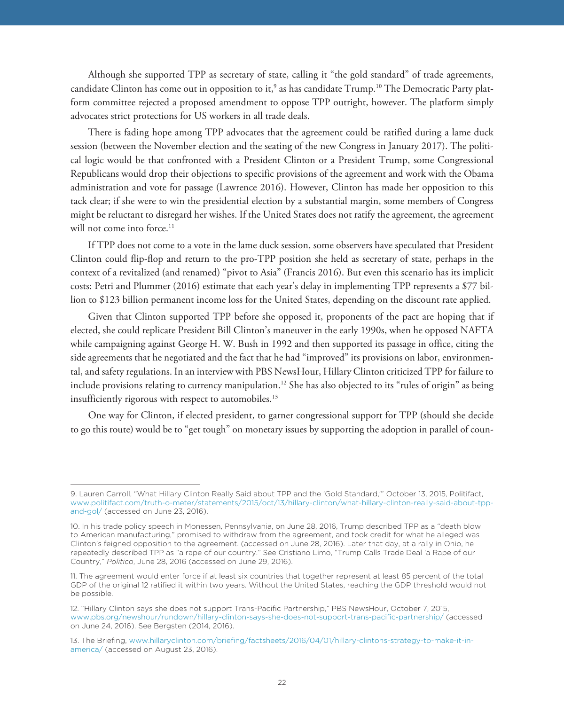Although she supported TPP as secretary of state, calling it "the gold standard" of trade agreements, candidate Clinton has come out in opposition to it, $^{\circ}$  as has candidate Trump.10 The Democratic Party platform committee rejected a proposed amendment to oppose TPP outright, however. The platform simply advocates strict protections for US workers in all trade deals.

There is fading hope among TPP advocates that the agreement could be ratified during a lame duck session (between the November election and the seating of the new Congress in January 2017). The political logic would be that confronted with a President Clinton or a President Trump, some Congressional Republicans would drop their objections to specific provisions of the agreement and work with the Obama administration and vote for passage (Lawrence 2016). However, Clinton has made her opposition to this tack clear; if she were to win the presidential election by a substantial margin, some members of Congress might be reluctant to disregard her wishes. If the United States does not ratify the agreement, the agreement will not come into force.<sup>11</sup>

If TPP does not come to a vote in the lame duck session, some observers have speculated that President Clinton could flip-flop and return to the pro-TPP position she held as secretary of state, perhaps in the context of a revitalized (and renamed) "pivot to Asia" (Francis 2016). But even this scenario has its implicit costs: Petri and Plummer (2016) estimate that each year's delay in implementing TPP represents a \$77 billion to \$123 billion permanent income loss for the United States, depending on the discount rate applied.

Given that Clinton supported TPP before she opposed it, proponents of the pact are hoping that if elected, she could replicate President Bill Clinton's maneuver in the early 1990s, when he opposed NAFTA while campaigning against George H. W. Bush in 1992 and then supported its passage in office, citing the side agreements that he negotiated and the fact that he had "improved" its provisions on labor, environmental, and safety regulations. In an interview with PBS NewsHour, Hillary Clinton criticized TPP for failure to include provisions relating to currency manipulation.<sup>12</sup> She has also objected to its "rules of origin" as being insufficiently rigorous with respect to automobiles.<sup>13</sup>

One way for Clinton, if elected president, to garner congressional support for TPP (should she decide to go this route) would be to "get tough" on monetary issues by supporting the adoption in parallel of coun-

<sup>9.</sup> Lauren Carroll, "What Hillary Clinton Really Said about TPP and the 'Gold Standard,'" October 13, 2015, Politifact, [www.politifact.com/truth-o-meter/statements/2015/oct/13/hillary-clinton/what-hillary-clinton-really-said-about-tpp](www.politifact.com/truth-o-meter/statements/2015/oct/13/hillary-clinton/what-hillary-clinton-really-said-about-tpp-and-gol/)[and-gol/](www.politifact.com/truth-o-meter/statements/2015/oct/13/hillary-clinton/what-hillary-clinton-really-said-about-tpp-and-gol/) (accessed on June 23, 2016).

<sup>10.</sup> In his trade policy speech in Monessen, Pennsylvania, on June 28, 2016, Trump described TPP as a "death blow to American manufacturing," promised to withdraw from the agreement, and took credit for what he alleged was Clinton's feigned opposition to the agreement. (accessed on June 28, 2016). Later that day, at a rally in Ohio, he repeatedly described TPP as "a rape of our country." See Cristiano Limo, "Trump Calls Trade Deal 'a Rape of our Country," *Politico*, June 28, 2016 (accessed on June 29, 2016).

<sup>11.</sup> The agreement would enter force if at least six countries that together represent at least 85 percent of the total GDP of the original 12 ratified it within two years. Without the United States, reaching the GDP threshold would not be possible.

<sup>12. &</sup>quot;Hillary Clinton says she does not support Trans-Pacific Partnership," PBS NewsHour, October 7, 2015, www.pbs.org/newshour/rundown/hillary-clinton-says-she-does-not-support-trans-pacific-partnership/ (accessed on June 24, 2016). See Bergsten (2014, 2016).

<sup>13.</sup> The Briefing, [www.hillaryclinton.com/briefing/factsheets/2016/04/01/hillary-clintons-strategy-to-make-it-in](www.hillaryclinton.com/briefing/factsheets/2016/04/01/hillary-clintons-strategy-to-make-it-in-america/)[america/](www.hillaryclinton.com/briefing/factsheets/2016/04/01/hillary-clintons-strategy-to-make-it-in-america/) (accessed on August 23, 2016).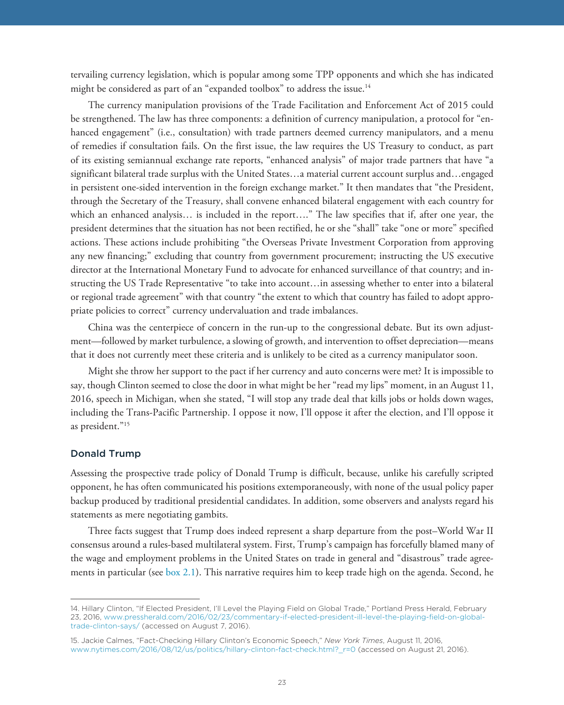tervailing currency legislation, which is popular among some TPP opponents and which she has indicated might be considered as part of an "expanded toolbox" to address the issue.<sup>14</sup>

The currency manipulation provisions of the Trade Facilitation and Enforcement Act of 2015 could be strengthened. The law has three components: a definition of currency manipulation, a protocol for "enhanced engagement" (i.e., consultation) with trade partners deemed currency manipulators, and a menu of remedies if consultation fails. On the first issue, the law requires the US Treasury to conduct, as part of its existing semiannual exchange rate reports, "enhanced analysis" of major trade partners that have "a significant bilateral trade surplus with the United States…a material current account surplus and…engaged in persistent one-sided intervention in the foreign exchange market." It then mandates that "the President, through the Secretary of the Treasury, shall convene enhanced bilateral engagement with each country for which an enhanced analysis… is included in the report…." The law specifies that if, after one year, the president determines that the situation has not been rectified, he or she "shall" take "one or more" specified actions. These actions include prohibiting "the Overseas Private Investment Corporation from approving any new financing;" excluding that country from government procurement; instructing the US executive director at the International Monetary Fund to advocate for enhanced surveillance of that country; and instructing the US Trade Representative "to take into account…in assessing whether to enter into a bilateral or regional trade agreement" with that country "the extent to which that country has failed to adopt appropriate policies to correct" currency undervaluation and trade imbalances.

China was the centerpiece of concern in the run-up to the congressional debate. But its own adjustment—followed by market turbulence, a slowing of growth, and intervention to offset depreciation—means that it does not currently meet these criteria and is unlikely to be cited as a currency manipulator soon.

Might she throw her support to the pact if her currency and auto concerns were met? It is impossible to say, though Clinton seemed to close the door in what might be her "read my lips" moment, in an August 11, 2016, speech in Michigan, when she stated, "I will stop any trade deal that kills jobs or holds down wages, including the Trans-Pacific Partnership. I oppose it now, I'll oppose it after the election, and I'll oppose it as president."15

#### Donald Trump

Assessing the prospective trade policy of Donald Trump is difficult, because, unlike his carefully scripted opponent, he has often communicated his positions extemporaneously, with none of the usual policy paper backup produced by traditional presidential candidates. In addition, some observers and analysts regard his statements as mere negotiating gambits.

Three facts suggest that Trump does indeed represent a sharp departure from the post–World War II consensus around a rules-based multilateral system. First, Trump's campaign has forcefully blamed many of the wage and employment problems in the United States on trade in general and "disastrous" trade agreements in particular (see [box 2.1\)](#page-18-0). This narrative requires him to keep trade high on the agenda. Second, he

<sup>14.</sup> Hillary Clinton, "If Elected President, I'll Level the Playing Field on Global Trade," Portland Press Herald, February 23, 2016, [www.pressherald.com/2016/02/23/commentary-if-elected-president-ill-level-the-playing-field-on-global](www.pressherald.com/2016/02/23/commentary-if-elected-president-ill-level-the-playing-field-on-global-trade-clinton-says/)[trade-clinton-says/](www.pressherald.com/2016/02/23/commentary-if-elected-president-ill-level-the-playing-field-on-global-trade-clinton-says/) (accessed on August 7, 2016).

<sup>15.</sup> Jackie Calmes, "Fact-Checking Hillary Clinton's Economic Speech," *New York Times*, August 11, 2016, www.nytimes.com/2016/08/12/us/politics/hillary-clinton-fact-check.html?\_r=0 (accessed on August 21, 2016).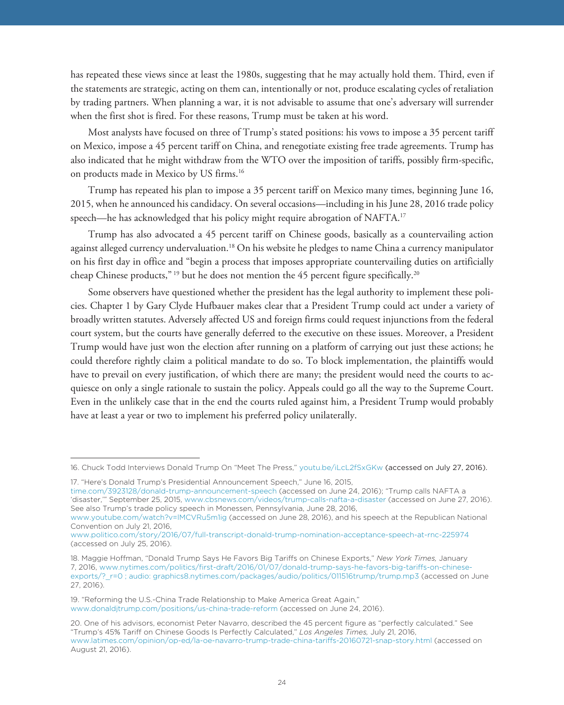has repeated these views since at least the 1980s, suggesting that he may actually hold them. Third, even if the statements are strategic, acting on them can, intentionally or not, produce escalating cycles of retaliation by trading partners. When planning a war, it is not advisable to assume that one's adversary will surrender when the first shot is fired. For these reasons, Trump must be taken at his word.

Most analysts have focused on three of Trump's stated positions: his vows to impose a 35 percent tariff on Mexico, impose a 45 percent tariff on China, and renegotiate existing free trade agreements. Trump has also indicated that he might withdraw from the WTO over the imposition of tariffs, possibly firm-specific, on products made in Mexico by US firms.16

Trump has repeated his plan to impose a 35 percent tariff on Mexico many times, beginning June 16, 2015, when he announced his candidacy. On several occasions—including in his June 28, 2016 trade policy speech—he has acknowledged that his policy might require abrogation of NAFTA.<sup>17</sup>

Trump has also advocated a 45 percent tariff on Chinese goods, basically as a countervailing action against alleged currency undervaluation.18 On his website he pledges to name China a currency manipulator on his first day in office and "begin a process that imposes appropriate countervailing duties on artificially cheap Chinese products,"<sup>19</sup> but he does not mention the 45 percent figure specifically.<sup>20</sup>

Some observers have questioned whether the president has the legal authority to implement these policies. Chapter 1 by Gary Clyde Hufbauer makes clear that a President Trump could act under a variety of broadly written statutes. Adversely affected US and foreign firms could request injunctions from the federal court system, but the courts have generally deferred to the executive on these issues. Moreover, a President Trump would have just won the election after running on a platform of carrying out just these actions; he could therefore rightly claim a political mandate to do so. To block implementation, the plaintiffs would have to prevail on every justification, of which there are many; the president would need the courts to acquiesce on only a single rationale to sustain the policy. Appeals could go all the way to the Supreme Court. Even in the unlikely case that in the end the courts ruled against him, a President Trump would probably have at least a year or two to implement his preferred policy unilaterally.

<sup>16.</sup> Chuck Todd Interviews Donald Trump On "Meet The Press," [youtu.be/iLcL2fSxGKw](https://www.youtube.com/watch?v=iLcL2fSxGKw&feature=youtu.be) (accessed on July 27, 2016).

<sup>17. &</sup>quot;Here's Donald Trump's Presidential Announcement Speech," June 16, 2015,

[time.com/3923128/donald-trump-announcement-speech](http://time.com/3923128/donald-trump-announcement-speech/) (accessed on June 24, 2016); "Trump calls NAFTA a 'disaster,'" September 25, 2015, www.cbsnews.com/videos/trump-calls-nafta-a-disaster (accessed on June 27, 2016). See also Trump's trade policy speech in Monessen, Pennsylvania, June 28, 2016,

www.youtube.com/watch?v=lMCVRu5m1ig (accessed on June 28, 2016), and his speech at the Republican National Convention on July 21, 2016,

www.politico.com/story/2016/07/full-transcript-donald-trump-nomination-acceptance-speech-at-rnc-225974 (accessed on July 25, 2016).

<sup>18.</sup> Maggie Hoffman, "Donald Trump Says He Favors Big Tariffs on Chinese Exports," *New York Times,* January 7, 2016, [www.nytimes.com/politics/first-draft/2016/01/07/donald-trump-says-he-favors-big-tariffs-on-chinese](www.nytimes.com/politics/first-draft/2016/01/07/donald-trump-says-he-favors-big-tariffs-on-chinese-exports/?_r=0 ; audio: graphics8.nytimes.com/packages/audio/politics/011516trump/trump.mp3)[exports/?\\_r=0 ; audio: graphics8.nytimes.com/packages/audio/politics/011516trump/trump.mp3](www.nytimes.com/politics/first-draft/2016/01/07/donald-trump-says-he-favors-big-tariffs-on-chinese-exports/?_r=0 ; audio: graphics8.nytimes.com/packages/audio/politics/011516trump/trump.mp3) (accessed on June 27, 2016).

<sup>19. &</sup>quot;Reforming the U.S.-China Trade Relationship to Make America Great Again," www.donaldjtrump.com/positions/us-china-trade-reform (accessed on June 24, 2016).

<sup>20.</sup> One of his advisors, economist Peter Navarro, described the 45 percent figure as "perfectly calculated." See "Trump's 45% Tariff on Chinese Goods Is Perfectly Calculated," *Los Angeles Times,* July 21, 2016, www.latimes.com/opinion/op-ed/la-oe-navarro-trump-trade-china-tariffs-20160721-snap-story.html (accessed on August 21, 2016).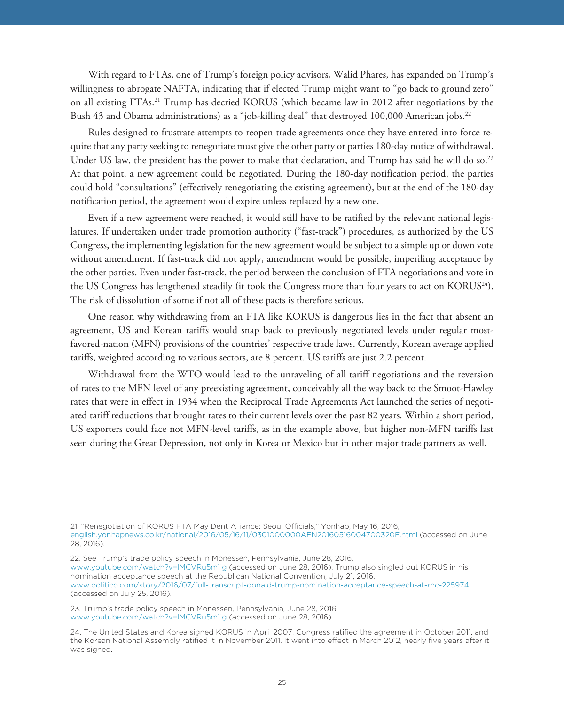With regard to FTAs, one of Trump's foreign policy advisors, Walid Phares, has expanded on Trump's willingness to abrogate NAFTA, indicating that if elected Trump might want to "go back to ground zero" on all existing FTAs.21 Trump has decried KORUS (which became law in 2012 after negotiations by the Bush 43 and Obama administrations) as a "job-killing deal" that destroyed 100,000 American jobs.<sup>22</sup>

Rules designed to frustrate attempts to reopen trade agreements once they have entered into force require that any party seeking to renegotiate must give the other party or parties 180-day notice of withdrawal. Under US law, the president has the power to make that declaration, and Trump has said he will do so.<sup>23</sup> At that point, a new agreement could be negotiated. During the 180-day notification period, the parties could hold "consultations" (effectively renegotiating the existing agreement), but at the end of the 180-day notification period, the agreement would expire unless replaced by a new one.

Even if a new agreement were reached, it would still have to be ratified by the relevant national legislatures. If undertaken under trade promotion authority ("fast-track") procedures, as authorized by the US Congress, the implementing legislation for the new agreement would be subject to a simple up or down vote without amendment. If fast-track did not apply, amendment would be possible, imperiling acceptance by the other parties. Even under fast-track, the period between the conclusion of FTA negotiations and vote in the US Congress has lengthened steadily (it took the Congress more than four years to act on KORUS<sup>24</sup>). The risk of dissolution of some if not all of these pacts is therefore serious.

One reason why withdrawing from an FTA like KORUS is dangerous lies in the fact that absent an agreement, US and Korean tariffs would snap back to previously negotiated levels under regular mostfavored-nation (MFN) provisions of the countries' respective trade laws. Currently, Korean average applied tariffs, weighted according to various sectors, are 8 percent. US tariffs are just 2.2 percent.

Withdrawal from the WTO would lead to the unraveling of all tariff negotiations and the reversion of rates to the MFN level of any preexisting agreement, conceivably all the way back to the Smoot-Hawley rates that were in effect in 1934 when the Reciprocal Trade Agreements Act launched the series of negotiated tariff reductions that brought rates to their current levels over the past 82 years. Within a short period, US exporters could face not MFN-level tariffs, as in the example above, but higher non-MFN tariffs last seen during the Great Depression, not only in Korea or Mexico but in other major trade partners as well.

<sup>21. &</sup>quot;Renegotiation of KORUS FTA May Dent Alliance: Seoul Officials," Yonhap, May 16, 2016, [english.yonhapnews.co.kr/national/2016/05/16/11/0301000000AEN20160516004700320F.html \(](http://english.yonhapnews.co.kr/national/2016/05/16/11/0301000000AEN20160516004700320F.html)accessed on June 28, 2016).

<sup>22.</sup> See Trump's trade policy speech in Monessen, Pennsylvania, June 28, 2016, www.youtube.com/watch?v=lMCVRu5m1ig (accessed on June 28, 2016). Trump also singled out KORUS in his nomination acceptance speech at the Republican National Convention, July 21, 2016, www.politico.com/story/2016/07/full-transcript-donald-trump-nomination-acceptance-speech-at-rnc-225974 (accessed on July 25, 2016).

<sup>23.</sup> Trump's trade policy speech in Monessen, Pennsylvania, June 28, 2016, www.youtube.com/watch?v=lMCVRu5m1ig (accessed on June 28, 2016).

<sup>24.</sup> The United States and Korea signed KORUS in April 2007. Congress ratified the agreement in October 2011, and the Korean National Assembly ratified it in November 2011. It went into effect in March 2012, nearly five years after it was signed.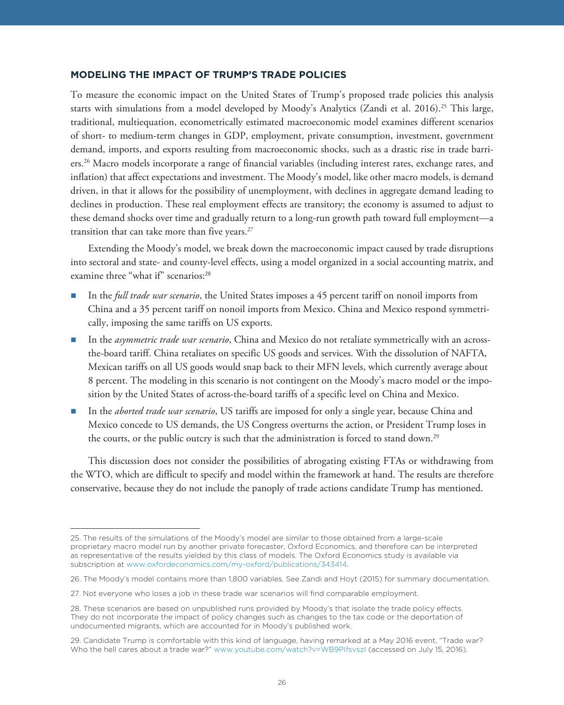To measure the economic impact on the United States of Trump's proposed trade policies this analysis starts with simulations from a model developed by Moody's Analytics (Zandi et al. 2016).25 This large, traditional, multiequation, econometrically estimated macroeconomic model examines different scenarios of short- to medium-term changes in GDP, employment, private consumption, investment, government demand, imports, and exports resulting from macroeconomic shocks, such as a drastic rise in trade barriers.26 Macro models incorporate a range of financial variables (including interest rates, exchange rates, and inflation) that affect expectations and investment. The Moody's model, like other macro models, is demand driven, in that it allows for the possibility of unemployment, with declines in aggregate demand leading to declines in production. These real employment effects are transitory; the economy is assumed to adjust to these demand shocks over time and gradually return to a long-run growth path toward full employment—a transition that can take more than five years.<sup>27</sup>

Extending the Moody's model, we break down the macroeconomic impact caused by trade disruptions into sectoral and state- and county-level effects, using a model organized in a social accounting matrix, and examine three "what if" scenarios:<sup>28</sup>

- In the *full trade war scenario*, the United States imposes a 45 percent tariff on nonoil imports from China and a 35 percent tariff on nonoil imports from Mexico. China and Mexico respond symmetrically, imposing the same tariffs on US exports.
- In the *asymmetric trade war scenario*, China and Mexico do not retaliate symmetrically with an acrossthe-board tariff. China retaliates on specific US goods and services. With the dissolution of NAFTA, Mexican tariffs on all US goods would snap back to their MFN levels, which currently average about 8 percent. The modeling in this scenario is not contingent on the Moody's macro model or the imposition by the United States of across-the-board tariffs of a specific level on China and Mexico.
- In the *aborted trade war scenario*, US tariffs are imposed for only a single year, because China and Mexico concede to US demands, the US Congress overturns the action, or President Trump loses in the courts, or the public outcry is such that the administration is forced to stand down.<sup>29</sup>

This discussion does not consider the possibilities of abrogating existing FTAs or withdrawing from the WTO, which are difficult to specify and model within the framework at hand. The results are therefore conservative, because they do not include the panoply of trade actions candidate Trump has mentioned.

<sup>25.</sup> The results of the simulations of the Moody's model are similar to those obtained from a large-scale proprietary macro model run by another private forecaster, Oxford Economics, and therefore can be interpreted as representative of the results yielded by this class of models. The Oxford Economics study is available via subscription at www.oxfordeconomics.com/my-oxford/publications/343414.

<sup>26.</sup> The Moody's model contains more than 1,800 variables. See Zandi and Hoyt (2015) for summary documentation.

<sup>27.</sup> Not everyone who loses a job in these trade war scenarios will find comparable employment.

<sup>28.</sup> These scenarios are based on unpublished runs provided by Moody's that isolate the trade policy effects. They do not incorporate the impact of policy changes such as changes to the tax code or the deportation of undocumented migrants, which are accounted for in Moody's published work.

<sup>29.</sup> Candidate Trump is comfortable with this kind of language, having remarked at a May 2016 event, "Trade war? Who the hell cares about a trade war?" www.youtube.com/watch?v=WB9PIfsvszI (accessed on July 15, 2016).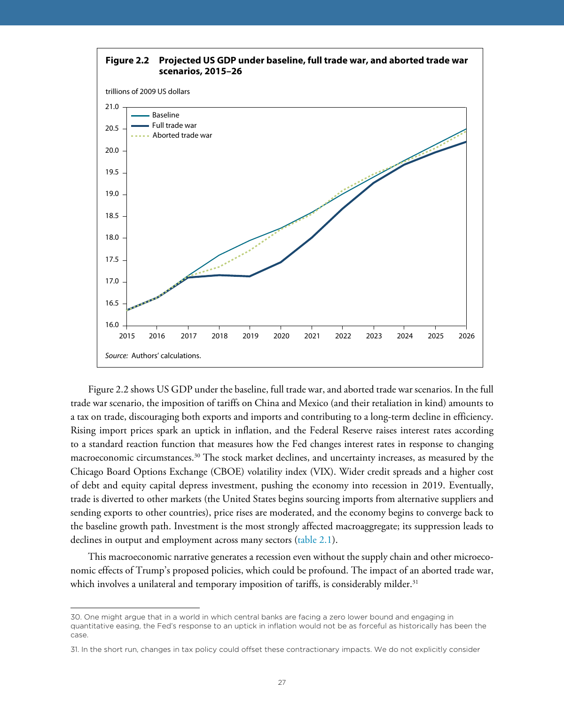

Figure 2.2 shows US GDP under the baseline, full trade war, and aborted trade war scenarios. In the full trade war scenario, the imposition of tariffs on China and Mexico (and their retaliation in kind) amounts to a tax on trade, discouraging both exports and imports and contributing to a long-term decline in efficiency. Rising import prices spark an uptick in inflation, and the Federal Reserve raises interest rates according to a standard reaction function that measures how the Fed changes interest rates in response to changing macroeconomic circumstances.30 The stock market declines, and uncertainty increases, as measured by the Chicago Board Options Exchange (CBOE) volatility index (VIX). Wider credit spreads and a higher cost of debt and equity capital depress investment, pushing the economy into recession in 2019. Eventually, trade is diverted to other markets (the United States begins sourcing imports from alternative suppliers and sending exports to other countries), price rises are moderated, and the economy begins to converge back to the baseline growth path. Investment is the most strongly affected macroaggregate; its suppression leads to declines in output and employment across many sectors ([table 2.1](#page-27-0)).

This macroeconomic narrative generates a recession even without the supply chain and other microeconomic effects of Trump's proposed policies, which could be profound. The impact of an aborted trade war, which involves a unilateral and temporary imposition of tariffs, is considerably milder.<sup>31</sup>

<sup>30.</sup> One might argue that in a world in which central banks are facing a zero lower bound and engaging in quantitative easing, the Fed's response to an uptick in inflation would not be as forceful as historically has been the case.

<sup>31.</sup> In the short run, changes in tax policy could offset these contractionary impacts. We do not explicitly consider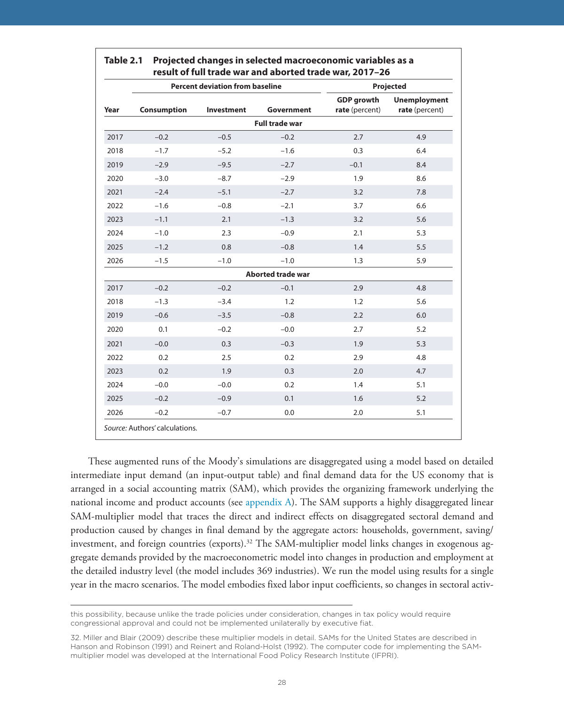|      | <b>Percent deviation from baseline</b> | Projected         |                          |                                     |                                       |
|------|----------------------------------------|-------------------|--------------------------|-------------------------------------|---------------------------------------|
| Year | <b>Consumption</b>                     | <b>Investment</b> | Government               | <b>GDP</b> growth<br>rate (percent) | <b>Unemployment</b><br>rate (percent) |
|      |                                        |                   | <b>Full trade war</b>    |                                     |                                       |
| 2017 | $-0.2$                                 | $-0.5$            | $-0.2$                   | 2.7                                 | 4.9                                   |
| 2018 | $-1.7$                                 | $-5.2$            | $-1.6$                   | 0.3                                 | 6.4                                   |
| 2019 | $-2.9$                                 | $-9.5$            | $-2.7$                   | $-0.1$                              | 8.4                                   |
| 2020 | $-3.0$                                 | $-8.7$            | $-2.9$                   | 1.9                                 | 8.6                                   |
| 2021 | $-2.4$                                 | $-5.1$            | $-2.7$                   | 3.2                                 | 7.8                                   |
| 2022 | $-1.6$                                 | $-0.8$            | $-2.1$                   | 3.7                                 | 6.6                                   |
| 2023 | $-1.1$                                 | 2.1               | $-1.3$                   | 3.2                                 | 5.6                                   |
| 2024 | $-1.0$                                 | 2.3               | $-0.9$                   | 2.1                                 | 5.3                                   |
| 2025 | $-1.2$                                 | 0.8               | $-0.8$                   | 1.4                                 | 5.5                                   |
| 2026 | $-1.5$                                 | $-1.0$            | $-1.0$                   | 1.3                                 | 5.9                                   |
|      |                                        |                   | <b>Aborted trade war</b> |                                     |                                       |
| 2017 | $-0.2$                                 | $-0.2$            | $-0.1$                   | 2.9                                 | 4.8                                   |
| 2018 | $-1.3$                                 | $-3.4$            | 1.2                      | 1.2                                 | 5.6                                   |
| 2019 | $-0.6$                                 | $-3.5$            | $-0.8$                   | 2.2                                 | 6.0                                   |
| 2020 | 0.1                                    | $-0.2$            | $-0.0$                   | 2.7                                 | 5.2                                   |
| 2021 | $-0.0$                                 | 0.3               | $-0.3$                   | 1.9                                 | 5.3                                   |
| 2022 | 0.2                                    | 2.5               | 0.2                      | 2.9                                 | 4.8                                   |
| 2023 | 0.2                                    | 1.9               | 0.3                      | 2.0                                 | 4.7                                   |
| 2024 | $-0.0$                                 | $-0.0$            | 0.2                      | 1.4                                 | 5.1                                   |
| 2025 | $-0.2$                                 | $-0.9$            | 0.1                      | 1.6                                 | 5.2                                   |
| 2026 | $-0.2$                                 | $-0.7$            | 0.0                      | 2.0                                 | 5.1                                   |

<span id="page-27-0"></span>

| Table 2.1 Projected changes in selected macroeconomic variables as a |  |  |  |  |  |
|----------------------------------------------------------------------|--|--|--|--|--|
| result of full trade war and aborted trade war, 2017-26              |  |  |  |  |  |

These augmented runs of the Moody's simulations are disaggregated using a model based on detailed intermediate input demand (an input-output table) and final demand data for the US economy that is arranged in a social accounting matrix (SAM), which provides the organizing framework underlying the national income and product accounts (see [appendix A\)](#page-44-0). The SAM supports a highly disaggregated linear SAM-multiplier model that traces the direct and indirect effects on disaggregated sectoral demand and production caused by changes in final demand by the aggregate actors: households, government, saving/ investment, and foreign countries (exports).<sup>32</sup> The SAM-multiplier model links changes in exogenous aggregate demands provided by the macroeconometric model into changes in production and employment at the detailed industry level (the model includes 369 industries). We run the model using results for a single year in the macro scenarios. The model embodies fixed labor input coefficients, so changes in sectoral activ-

this possibility, because unlike the trade policies under consideration, changes in tax policy would require congressional approval and could not be implemented unilaterally by executive fiat.

<sup>32.</sup> Miller and Blair (2009) describe these multiplier models in detail. SAMs for the United States are described in Hanson and Robinson (1991) and Reinert and Roland-Holst (1992). The computer code for implementing the SAMmultiplier model was developed at the International Food Policy Research Institute (IFPRI).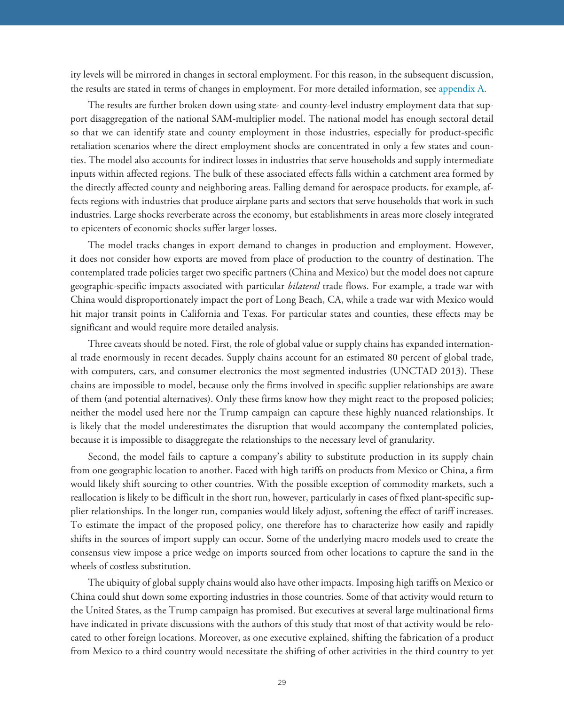ity levels will be mirrored in changes in sectoral employment. For this reason, in the subsequent discussion, the results are stated in terms of changes in employment. For more detailed information, see [appendix A](#page-44-0).

The results are further broken down using state- and county-level industry employment data that support disaggregation of the national SAM-multiplier model. The national model has enough sectoral detail so that we can identify state and county employment in those industries, especially for product-specific retaliation scenarios where the direct employment shocks are concentrated in only a few states and counties. The model also accounts for indirect losses in industries that serve households and supply intermediate inputs within affected regions. The bulk of these associated effects falls within a catchment area formed by the directly affected county and neighboring areas. Falling demand for aerospace products, for example, affects regions with industries that produce airplane parts and sectors that serve households that work in such industries. Large shocks reverberate across the economy, but establishments in areas more closely integrated to epicenters of economic shocks suffer larger losses.

The model tracks changes in export demand to changes in production and employment. However, it does not consider how exports are moved from place of production to the country of destination. The contemplated trade policies target two specific partners (China and Mexico) but the model does not capture geographic-specific impacts associated with particular *bilateral* trade flows. For example, a trade war with China would disproportionately impact the port of Long Beach, CA, while a trade war with Mexico would hit major transit points in California and Texas. For particular states and counties, these effects may be significant and would require more detailed analysis.

Three caveats should be noted. First, the role of global value or supply chains has expanded international trade enormously in recent decades. Supply chains account for an estimated 80 percent of global trade, with computers, cars, and consumer electronics the most segmented industries (UNCTAD 2013). These chains are impossible to model, because only the firms involved in specific supplier relationships are aware of them (and potential alternatives). Only these firms know how they might react to the proposed policies; neither the model used here nor the Trump campaign can capture these highly nuanced relationships. It is likely that the model underestimates the disruption that would accompany the contemplated policies, because it is impossible to disaggregate the relationships to the necessary level of granularity.

Second, the model fails to capture a company's ability to substitute production in its supply chain from one geographic location to another. Faced with high tariffs on products from Mexico or China, a firm would likely shift sourcing to other countries. With the possible exception of commodity markets, such a reallocation is likely to be difficult in the short run, however, particularly in cases of fixed plant-specific supplier relationships. In the longer run, companies would likely adjust, softening the effect of tariff increases. To estimate the impact of the proposed policy, one therefore has to characterize how easily and rapidly shifts in the sources of import supply can occur. Some of the underlying macro models used to create the consensus view impose a price wedge on imports sourced from other locations to capture the sand in the wheels of costless substitution.

The ubiquity of global supply chains would also have other impacts. Imposing high tariffs on Mexico or China could shut down some exporting industries in those countries. Some of that activity would return to the United States, as the Trump campaign has promised. But executives at several large multinational firms have indicated in private discussions with the authors of this study that most of that activity would be relocated to other foreign locations. Moreover, as one executive explained, shifting the fabrication of a product from Mexico to a third country would necessitate the shifting of other activities in the third country to yet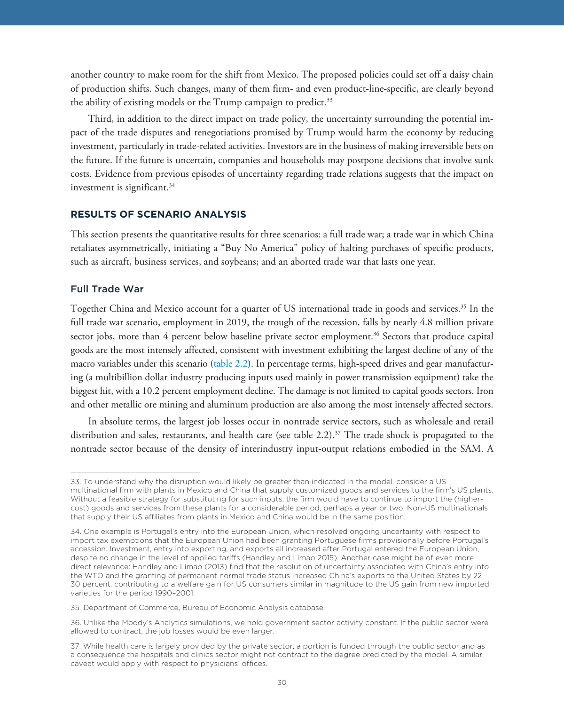another country to make room for the shift from Mexico. The proposed policies could set off a daisy chain of production shifts. Such changes, many of them firm- and even product-line-specific, are clearly beyond the ability of existing models or the Trump campaign to predict.<sup>33</sup>

Third, in addition to the direct impact on trade policy, the uncertainty surrounding the potential impact of the trade disputes and renegotiations promised by Trump would harm the economy by reducing investment, particularly in trade-related activities. Investors are in the business of making irreversible bets on the future. If the future is uncertain, companies and households may postpone decisions that involve sunk costs. Evidence from previous episodes of uncertainty regarding trade relations suggests that the impact on investment is significant.<sup>34</sup>

This section presents the quantitative results for three scenarios: a full trade war; a trade war in which China retaliates asymmetrically, initiating a "Buy No America" policy of halting purchases of specific products, such as aircraft, business services, and soybeans; and an aborted trade war that lasts one year.

#### Full Trade War

Together China and Mexico account for a quarter of US international trade in goods and services.35 In the full trade war scenario, employment in 2019, the trough of the recession, falls by nearly 4.8 million private sector jobs, more than 4 percent below baseline private sector employment.<sup>36</sup> Sectors that produce capital goods are the most intensely affected, consistent with investment exhibiting the largest decline of any of the macro variables under this scenario [\(table 2.2\)](#page-30-0). In percentage terms, high-speed drives and gear manufacturing (a multibillion dollar industry producing inputs used mainly in power transmission equipment) take the biggest hit, with a 10.2 percent employment decline. The damage is not limited to capital goods sectors. Iron and other metallic ore mining and aluminum production are also among the most intensely affected sectors.

In absolute terms, the largest job losses occur in nontrade service sectors, such as wholesale and retail distribution and sales, restaurants, and health care (see table 2.2). $37$  The trade shock is propagated to the nontrade sector because of the density of interindustry input-output relations embodied in the SAM. A

<sup>33.</sup> To understand why the disruption would likely be greater than indicated in the model, consider a US multinational firm with plants in Mexico and China that supply customized goods and services to the firm's US plants. Without a feasible strategy for substituting for such inputs, the firm would have to continue to import the (highercost) goods and services from these plants for a considerable period, perhaps a year or two. Non-US multinationals that supply their US affiliates from plants in Mexico and China would be in the same position.

<sup>34.</sup> One example is Portugal's entry into the European Union, which resolved ongoing uncertainty with respect to import tax exemptions that the European Union had been granting Portuguese firms provisionally before Portugal's accession. Investment, entry into exporting, and exports all increased after Portugal entered the European Union, despite no change in the level of applied tariffs (Handley and Limao 2015). Another case might be of even more direct relevance: Handley and Limao (2013) find that the resolution of uncertainty associated with China's entry into the WTO and the granting of permanent normal trade status increased China's exports to the United States by 22– 30 percent, contributing to a welfare gain for US consumers similar in magnitude to the US gain from new imported varieties for the period 1990–2001.

<sup>35.</sup> Department of Commerce, Bureau of Economic Analysis database.

<sup>36.</sup> Unlike the Moody's Analytics simulations, we hold government sector activity constant. If the public sector were allowed to contract, the job losses would be even larger.

<sup>37.</sup> While health care is largely provided by the private sector, a portion is funded through the public sector and as a consequence the hospitals and clinics sector might not contract to the degree predicted by the model. A similar caveat would apply with respect to physicians' offices.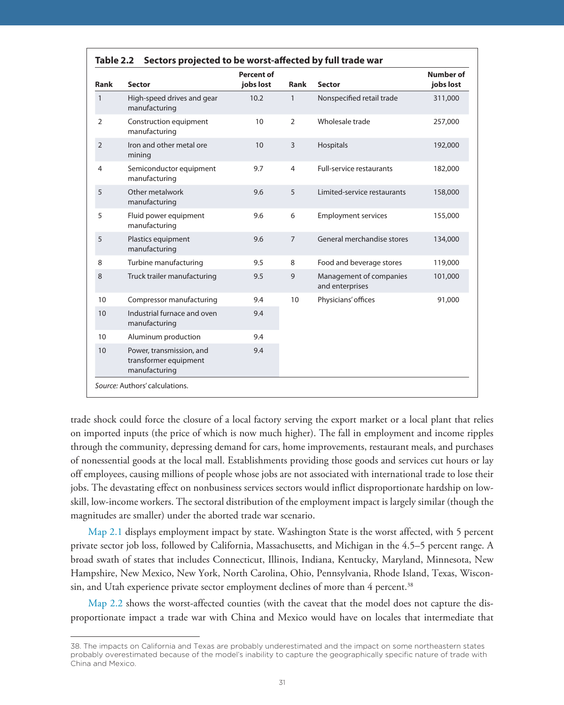<span id="page-30-0"></span>

| Rank           | <b>Sector</b>                                                      | <b>Percent of</b><br>jobs lost | <b>Rank</b>    | <b>Sector</b>                              | <b>Number of</b><br>jobs lost |
|----------------|--------------------------------------------------------------------|--------------------------------|----------------|--------------------------------------------|-------------------------------|
| $\mathbf{1}$   | High-speed drives and gear<br>manufacturing                        | 10.2                           | $\mathbf{1}$   | Nonspecified retail trade                  | 311,000                       |
| $\overline{2}$ | Construction equipment<br>manufacturing                            | 10                             | $\overline{2}$ | Wholesale trade                            | 257,000                       |
| $\overline{2}$ | Iron and other metal ore<br>mining                                 | 10                             | 3              | Hospitals                                  | 192,000                       |
| $\overline{4}$ | Semiconductor equipment<br>manufacturing                           | 9.7                            | $\overline{4}$ | <b>Full-service restaurants</b>            | 182,000                       |
| 5              | Other metalwork<br>manufacturing                                   | 9.6                            | 5              | Limited-service restaurants                | 158,000                       |
| 5              | Fluid power equipment<br>manufacturing                             | 9.6                            | 6              | <b>Employment services</b>                 | 155,000                       |
| 5              | Plastics equipment<br>manufacturing                                | 9.6                            | $\overline{7}$ | General merchandise stores                 | 134,000                       |
| 8              | Turbine manufacturing                                              | 9.5                            | 8              | Food and beverage stores                   | 119,000                       |
| 8              | Truck trailer manufacturing                                        | 9.5                            | 9              | Management of companies<br>and enterprises | 101,000                       |
| 10             | Compressor manufacturing                                           | 9.4                            | 10             | Physicians' offices                        | 91,000                        |
| 10             | Industrial furnace and oven<br>manufacturing                       | 9.4                            |                |                                            |                               |
| 10             | Aluminum production                                                | 9.4                            |                |                                            |                               |
| 10             | Power, transmission, and<br>transformer equipment<br>manufacturing | 9.4                            |                |                                            |                               |

trade shock could force the closure of a local factory serving the export market or a local plant that relies on imported inputs (the price of which is now much higher). The fall in employment and income ripples through the community, depressing demand for cars, home improvements, restaurant meals, and purchases of nonessential goods at the local mall. Establishments providing those goods and services cut hours or lay off employees, causing millions of people whose jobs are not associated with international trade to lose their jobs. The devastating effect on nonbusiness services sectors would inflict disproportionate hardship on lowskill, low-income workers. The sectoral distribution of the employment impact is largely similar (though the magnitudes are smaller) under the aborted trade war scenario.

[Map 2.1](#page-31-0) displays employment impact by state. Washington State is the worst affected, with 5 percent private sector job loss, followed by California, Massachusetts, and Michigan in the 4.5–5 percent range. A broad swath of states that includes Connecticut, Illinois, Indiana, Kentucky, Maryland, Minnesota, New Hampshire, New Mexico, New York, North Carolina, Ohio, Pennsylvania, Rhode Island, Texas, Wisconsin, and Utah experience private sector employment declines of more than 4 percent.<sup>38</sup>

[Map 2.2](#page-32-0) shows the worst-affected counties (with the caveat that the model does not capture the disproportionate impact a trade war with China and Mexico would have on locales that intermediate that

<sup>38.</sup> The impacts on California and Texas are probably underestimated and the impact on some northeastern states probably overestimated because of the model's inability to capture the geographically specific nature of trade with China and Mexico.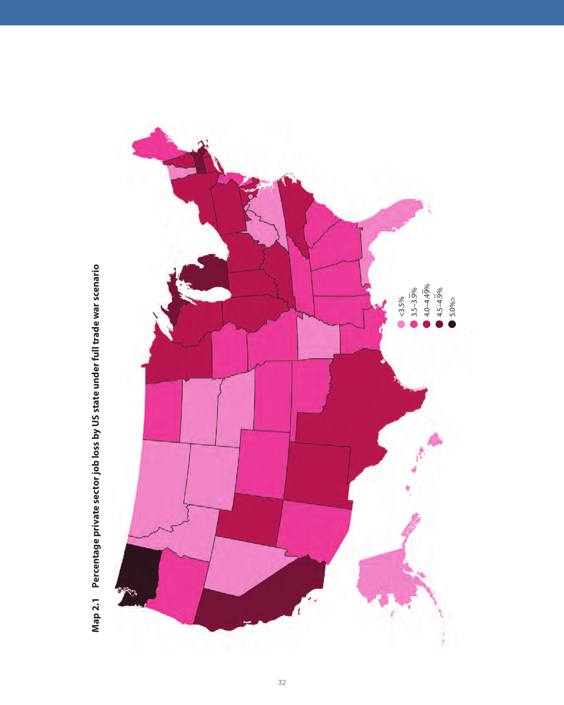<span id="page-31-0"></span>

Map 2.1 Percentage private sector job loss by US state under full trade war scenario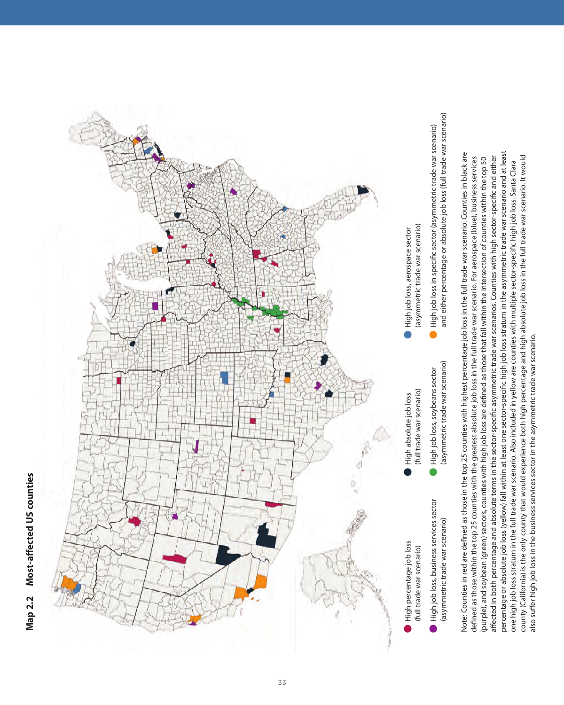<span id="page-32-0"></span>

percentage or absolute job loss (yellow) fall within at least one sector-specific high job loss stratum in the asymmetric trade war scenario and at least percentage or absolute job loss (yellow) fall within at least one sector-specific high job loss stratum in the asymmetric trade war scenario and at least Note: Counties in red are defined as those in the top 25 counties with highest percentage job loss in the full trade war scenario. Counties in black are Note: Counties in red are defined as those in the top 25 counties with highest percentage job loss in the full trade war scenario. Counties in black are affected in both percentage and absolute terms in the sector-specific asymmetric trade war scenarios. Counties with high sector-specific and either county (California) is the only county that would experience both high percentage and high absolute job loss in the full trade war scenario. It would county (California) is the only county that would experience both high percentage and high absolute job loss in the full trade war scenario. It would (purple), and soybean (green) sectors, counties with high job loss are defined as those that fall within the intersection of counties within the top 50  $\,$ affected in both percentage and absolute terms in the sector-specific asymmetric trade war scenarios. Counties with high sector-specific and either defined as those within the top 25 counties with the greatest absolute job loss in the full trade war scenario. For aerospace (blue), business services defined as those within the top 25 counties with the greatest absolute job loss in the full trade war scenario. For aerospace (blue), business services (purple), and soybean (green) sectors, counties with high job loss are defined as those that fall within the intersection of counties within the top 50 one high job loss stratum in the full trade war scenario. Also included in yellow are counties with multiple sector-specific high job loss. Santa Clara one high job loss stratum in the full trade war scenario. Also included in yellow are counties with multiple sector-specific high job loss. Santa Clara also suffer high job loss in the business services sector in the asymmetric trade war scenario. also suffer high job loss in the business services sector in the asymmetric trade war scenario.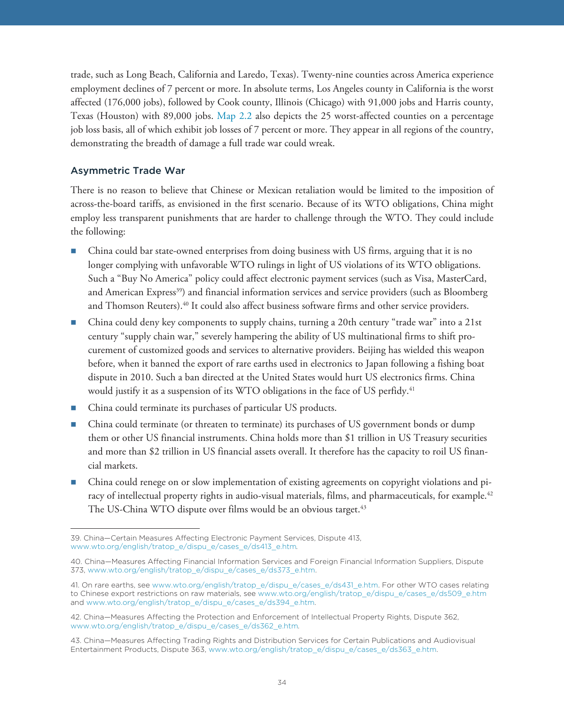trade, such as Long Beach, California and Laredo, Texas). Twenty-nine counties across America experience employment declines of 7 percent or more. In absolute terms, Los Angeles county in California is the worst affected (176,000 jobs), followed by Cook county, Illinois (Chicago) with 91,000 jobs and Harris county, Texas (Houston) with 89,000 jobs. [Map 2.2](#page-32-0) also depicts the 25 worst-affected counties on a percentage job loss basis, all of which exhibit job losses of 7 percent or more. They appear in all regions of the country, demonstrating the breadth of damage a full trade war could wreak.

### Asymmetric Trade War

There is no reason to believe that Chinese or Mexican retaliation would be limited to the imposition of across-the-board tariffs, as envisioned in the first scenario. Because of its WTO obligations, China might employ less transparent punishments that are harder to challenge through the WTO. They could include the following:

- China could bar state-owned enterprises from doing business with US firms, arguing that it is no longer complying with unfavorable WTO rulings in light of US violations of its WTO obligations. Such a "Buy No America" policy could affect electronic payment services (such as Visa, MasterCard, and American Express<sup>39</sup>) and financial information services and service providers (such as Bloomberg and Thomson Reuters).<sup>40</sup> It could also affect business software firms and other service providers.
- China could deny key components to supply chains, turning a 20th century "trade war" into a 21st century "supply chain war," severely hampering the ability of US multinational firms to shift procurement of customized goods and services to alternative providers. Beijing has wielded this weapon before, when it banned the export of rare earths used in electronics to Japan following a fishing boat dispute in 2010. Such a ban directed at the United States would hurt US electronics firms. China would justify it as a suspension of its WTO obligations in the face of US perfidy.<sup>41</sup>
- China could terminate its purchases of particular US products.
- China could terminate (or threaten to terminate) its purchases of US government bonds or dump them or other US financial instruments. China holds more than \$1 trillion in US Treasury securities and more than \$2 trillion in US financial assets overall. It therefore has the capacity to roil US financial markets.
- China could renege on or slow implementation of existing agreements on copyright violations and piracy of intellectual property rights in audio-visual materials, films, and pharmaceuticals, for example.<sup>42</sup> The US-China WTO dispute over films would be an obvious target.<sup>43</sup>

<sup>39.</sup> China—Certain Measures Affecting Electronic Payment Services, Dispute 413, www.wto.org/english/tratop\_e/dispu\_e/cases\_e/ds413\_e.htm*.*

<sup>40.</sup> China—Measures Affecting Financial Information Services and Foreign Financial Information Suppliers, Dispute 373, www.wto.org/english/tratop\_e/dispu\_e/cases\_e/ds373\_e.htm.

<sup>41.</sup> On rare earths, see www.wto.org/english/tratop\_e/dispu\_e/cases\_e/ds431\_e.htm. For other WTO cases relating to Chinese export restrictions on raw materials, see www.wto.org/english/tratop\_e/dispu\_e/cases\_e/ds509\_e.htm and www.wto.org/english/tratop\_e/dispu\_e/cases\_e/ds394\_e.htm.

<sup>42.</sup> China—Measures Affecting the Protection and Enforcement of Intellectual Property Rights, Dispute 362, www.wto.org/english/tratop\_e/dispu\_e/cases\_e/ds362\_e.htm*.* 

<sup>43.</sup> China—Measures Affecting Trading Rights and Distribution Services for Certain Publications and Audiovisual Entertainment Products, Dispute 363, www.wto.org/english/tratop\_e/dispu\_e/cases\_e/ds363\_e.htm.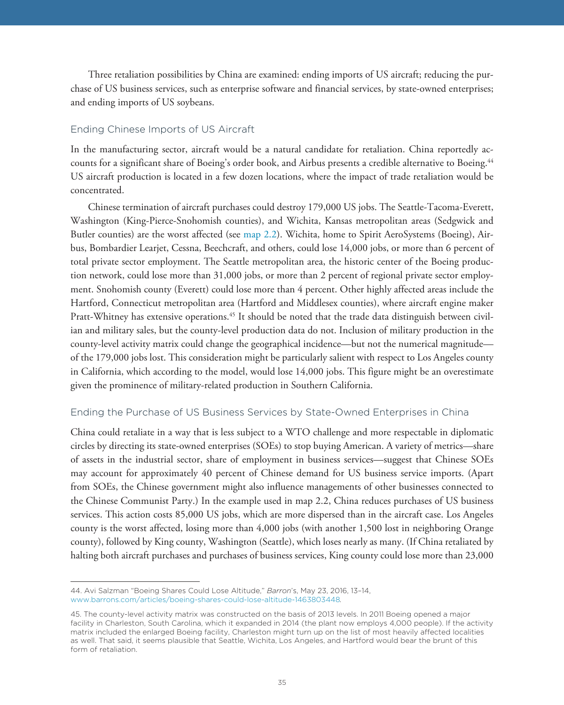Three retaliation possibilities by China are examined: ending imports of US aircraft; reducing the purchase of US business services, such as enterprise software and financial services, by state-owned enterprises; and ending imports of US soybeans.

## Ending Chinese Imports of US Aircraft

In the manufacturing sector, aircraft would be a natural candidate for retaliation. China reportedly accounts for a significant share of Boeing's order book, and Airbus presents a credible alternative to Boeing.<sup>44</sup> US aircraft production is located in a few dozen locations, where the impact of trade retaliation would be concentrated.

Chinese termination of aircraft purchases could destroy 179,000 US jobs. The Seattle-Tacoma-Everett, Washington (King-Pierce-Snohomish counties), and Wichita, Kansas metropolitan areas (Sedgwick and Butler counties) are the worst affected (see [map 2.2\)](#page-32-0). Wichita, home to Spirit AeroSystems (Boeing), Airbus, Bombardier Learjet, Cessna, Beechcraft, and others, could lose 14,000 jobs, or more than 6 percent of total private sector employment. The Seattle metropolitan area, the historic center of the Boeing production network, could lose more than 31,000 jobs, or more than 2 percent of regional private sector employment. Snohomish county (Everett) could lose more than 4 percent. Other highly affected areas include the Hartford, Connecticut metropolitan area (Hartford and Middlesex counties), where aircraft engine maker Pratt-Whitney has extensive operations.45 It should be noted that the trade data distinguish between civilian and military sales, but the county-level production data do not. Inclusion of military production in the county-level activity matrix could change the geographical incidence—but not the numerical magnitude of the 179,000 jobs lost. This consideration might be particularly salient with respect to Los Angeles county in California, which according to the model, would lose 14,000 jobs. This figure might be an overestimate given the prominence of military-related production in Southern California.

#### Ending the Purchase of US Business Services by State-Owned Enterprises in China

China could retaliate in a way that is less subject to a WTO challenge and more respectable in diplomatic circles by directing its state-owned enterprises (SOEs) to stop buying American. A variety of metrics—share of assets in the industrial sector, share of employment in business services—suggest that Chinese SOEs may account for approximately 40 percent of Chinese demand for US business service imports. (Apart from SOEs, the Chinese government might also influence managements of other businesses connected to the Chinese Communist Party.) In the example used in map 2.2, China reduces purchases of US business services. This action costs 85,000 US jobs, which are more dispersed than in the aircraft case. Los Angeles county is the worst affected, losing more than 4,000 jobs (with another 1,500 lost in neighboring Orange county), followed by King county, Washington (Seattle), which loses nearly as many. (If China retaliated by halting both aircraft purchases and purchases of business services, King county could lose more than 23,000

<sup>44.</sup> Avi Salzman "Boeing Shares Could Lose Altitude," *Barron*'s, May 23, 2016, 13–14, www.barrons.com/articles/boeing-shares-could-lose-altitude-1463803448*.*

<sup>45.</sup> The county-level activity matrix was constructed on the basis of 2013 levels. In 2011 Boeing opened a major facility in Charleston, South Carolina, which it expanded in 2014 (the plant now employs 4,000 people). If the activity matrix included the enlarged Boeing facility, Charleston might turn up on the list of most heavily affected localities as well. That said, it seems plausible that Seattle, Wichita, Los Angeles, and Hartford would bear the brunt of this form of retaliation.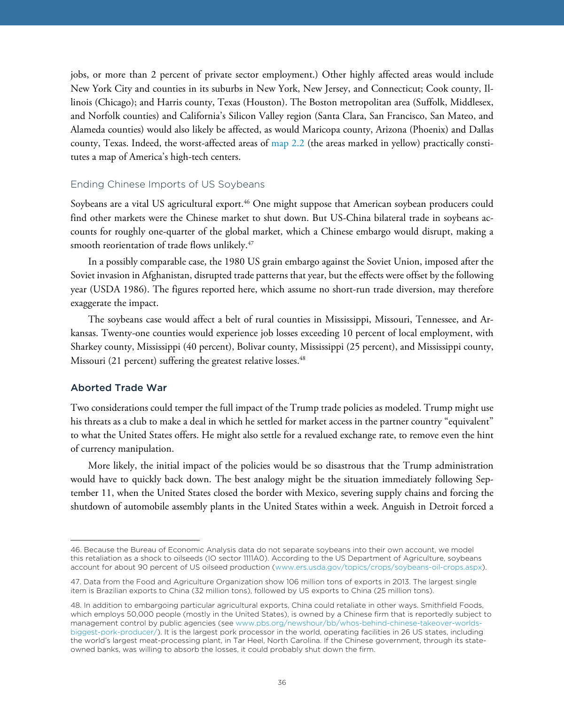jobs, or more than 2 percent of private sector employment.) Other highly affected areas would include New York City and counties in its suburbs in New York, New Jersey, and Connecticut; Cook county, Illinois (Chicago); and Harris county, Texas (Houston). The Boston metropolitan area (Suffolk, Middlesex, and Norfolk counties) and California's Silicon Valley region (Santa Clara, San Francisco, San Mateo, and Alameda counties) would also likely be affected, as would Maricopa county, Arizona (Phoenix) and Dallas county, Texas. Indeed, the worst-affected areas of [map 2.2](#page-32-0) (the areas marked in yellow) practically constitutes a map of America's high-tech centers.

#### Ending Chinese Imports of US Soybeans

Soybeans are a vital US agricultural export.<sup>46</sup> One might suppose that American soybean producers could find other markets were the Chinese market to shut down. But US-China bilateral trade in soybeans accounts for roughly one-quarter of the global market, which a Chinese embargo would disrupt, making a smooth reorientation of trade flows unlikely.<sup>47</sup>

In a possibly comparable case, the 1980 US grain embargo against the Soviet Union, imposed after the Soviet invasion in Afghanistan, disrupted trade patterns that year, but the effects were offset by the following year (USDA 1986). The figures reported here, which assume no short-run trade diversion, may therefore exaggerate the impact.

The soybeans case would affect a belt of rural counties in Mississippi, Missouri, Tennessee, and Arkansas. Twenty-one counties would experience job losses exceeding 10 percent of local employment, with Sharkey county, Mississippi (40 percent), Bolivar county, Mississippi (25 percent), and Mississippi county, Missouri (21 percent) suffering the greatest relative losses.<sup>48</sup>

#### Aborted Trade War

Two considerations could temper the full impact of the Trump trade policies as modeled. Trump might use his threats as a club to make a deal in which he settled for market access in the partner country "equivalent" to what the United States offers. He might also settle for a revalued exchange rate, to remove even the hint of currency manipulation.

More likely, the initial impact of the policies would be so disastrous that the Trump administration would have to quickly back down. The best analogy might be the situation immediately following September 11, when the United States closed the border with Mexico, severing supply chains and forcing the shutdown of automobile assembly plants in the United States within a week. Anguish in Detroit forced a

<sup>46.</sup> Because the Bureau of Economic Analysis data do not separate soybeans into their own account, we model this retaliation as a shock to oilseeds (IO sector 1111A0). According to the US Department of Agriculture, soybeans account for about 90 percent of US oilseed production (www.ers.usda.gov/topics/crops/soybeans-oil-crops.aspx).

<sup>47.</sup> Data from the Food and Agriculture Organization show 106 million tons of exports in 2013. The largest single item is Brazilian exports to China (32 million tons), followed by US exports to China (25 million tons).

<sup>48.</sup> In addition to embargoing particular agricultural exports, China could retaliate in other ways. Smithfield Foods, which employs 50,000 people (mostly in the United States), is owned by a Chinese firm that is reportedly subject to [management control by public agencies \(see www.pbs.org/newshour/bb/whos-behind-chinese-takeover-worlds](www.pbs.org/newshour/bb/whos-behind-chinese-takeover-worlds-biggest-pork-producer/)biggest-pork-producer/). It is the largest pork processor in the world, operating facilities in 26 US states, including the world's largest meat-processing plant, in Tar Heel, North Carolina. If the Chinese government, through its stateowned banks, was willing to absorb the losses, it could probably shut down the firm.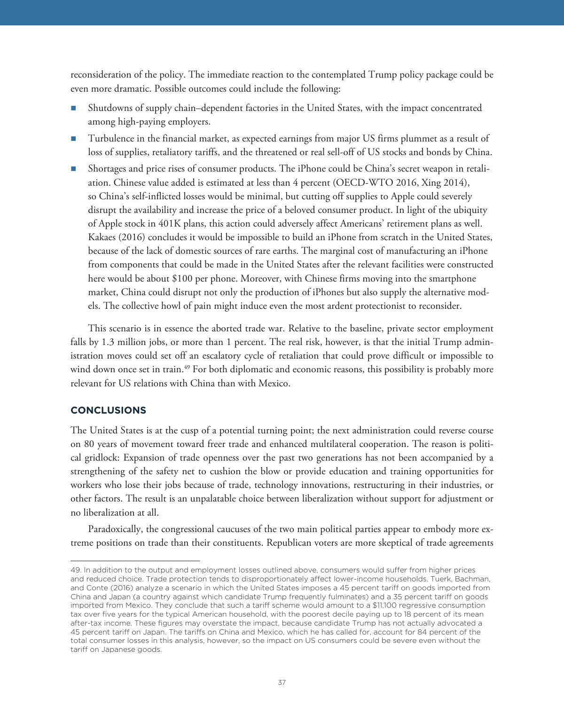reconsideration of the policy. The immediate reaction to the contemplated Trump policy package could be even more dramatic. Possible outcomes could include the following:

- Shutdowns of supply chain–dependent factories in the United States, with the impact concentrated among high-paying employers.
- Turbulence in the financial market, as expected earnings from major US firms plummet as a result of loss of supplies, retaliatory tariffs, and the threatened or real sell-off of US stocks and bonds by China.
- Shortages and price rises of consumer products. The iPhone could be China's secret weapon in retaliation. Chinese value added is estimated at less than 4 percent (OECD-WTO 2016, Xing 2014), so China's self-inflicted losses would be minimal, but cutting off supplies to Apple could severely disrupt the availability and increase the price of a beloved consumer product. In light of the ubiquity of Apple stock in 401K plans, this action could adversely affect Americans' retirement plans as well. Kakaes (2016) concludes it would be impossible to build an iPhone from scratch in the United States, because of the lack of domestic sources of rare earths. The marginal cost of manufacturing an iPhone from components that could be made in the United States after the relevant facilities were constructed here would be about \$100 per phone. Moreover, with Chinese firms moving into the smartphone market, China could disrupt not only the production of iPhones but also supply the alternative models. The collective howl of pain might induce even the most ardent protectionist to reconsider.

This scenario is in essence the aborted trade war. Relative to the baseline, private sector employment falls by 1.3 million jobs, or more than 1 percent. The real risk, however, is that the initial Trump administration moves could set off an escalatory cycle of retaliation that could prove difficult or impossible to wind down once set in train.<sup>49</sup> For both diplomatic and economic reasons, this possibility is probably more relevant for US relations with China than with Mexico.

### **CONCLUSIONS**

The United States is at the cusp of a potential turning point; the next administration could reverse course on 80 years of movement toward freer trade and enhanced multilateral cooperation. The reason is political gridlock: Expansion of trade openness over the past two generations has not been accompanied by a strengthening of the safety net to cushion the blow or provide education and training opportunities for workers who lose their jobs because of trade, technology innovations, restructuring in their industries, or other factors. The result is an unpalatable choice between liberalization without support for adjustment or no liberalization at all.

Paradoxically, the congressional caucuses of the two main political parties appear to embody more extreme positions on trade than their constituents. Republican voters are more skeptical of trade agreements

<sup>49.</sup> In addition to the output and employment losses outlined above, consumers would suffer from higher prices and reduced choice. Trade protection tends to disproportionately affect lower-income households. Tuerk, Bachman, and Conte (2016) analyze a scenario in which the United States imposes a 45 percent tariff on goods imported from China and Japan (a country against which candidate Trump frequently fulminates) and a 35 percent tariff on goods imported from Mexico. They conclude that such a tariff scheme would amount to a \$11,100 regressive consumption tax over five years for the typical American household, with the poorest decile paying up to 18 percent of its mean after-tax income. These figures may overstate the impact, because candidate Trump has not actually advocated a 45 percent tariff on Japan. The tariffs on China and Mexico, which he has called for, account for 84 percent of the total consumer losses in this analysis, however, so the impact on US consumers could be severe even without the tariff on Japanese goods.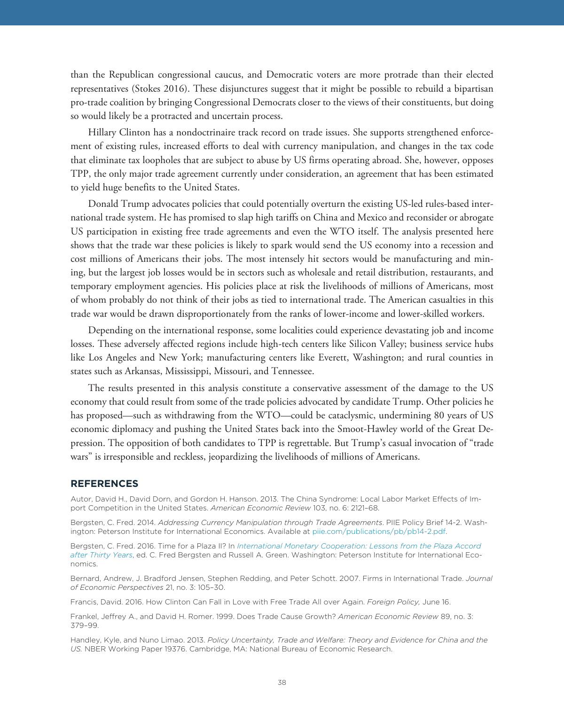than the Republican congressional caucus, and Democratic voters are more protrade than their elected representatives (Stokes 2016). These disjunctures suggest that it might be possible to rebuild a bipartisan pro-trade coalition by bringing Congressional Democrats closer to the views of their constituents, but doing so would likely be a protracted and uncertain process.

Hillary Clinton has a nondoctrinaire track record on trade issues. She supports strengthened enforcement of existing rules, increased efforts to deal with currency manipulation, and changes in the tax code that eliminate tax loopholes that are subject to abuse by US firms operating abroad. She, however, opposes TPP, the only major trade agreement currently under consideration, an agreement that has been estimated to yield huge benefits to the United States.

Donald Trump advocates policies that could potentially overturn the existing US-led rules-based international trade system. He has promised to slap high tariffs on China and Mexico and reconsider or abrogate US participation in existing free trade agreements and even the WTO itself. The analysis presented here shows that the trade war these policies is likely to spark would send the US economy into a recession and cost millions of Americans their jobs. The most intensely hit sectors would be manufacturing and mining, but the largest job losses would be in sectors such as wholesale and retail distribution, restaurants, and temporary employment agencies. His policies place at risk the livelihoods of millions of Americans, most of whom probably do not think of their jobs as tied to international trade. The American casualties in this trade war would be drawn disproportionately from the ranks of lower-income and lower-skilled workers.

Depending on the international response, some localities could experience devastating job and income losses. These adversely affected regions include high-tech centers like Silicon Valley; business service hubs like Los Angeles and New York; manufacturing centers like Everett, Washington; and rural counties in states such as Arkansas, Mississippi, Missouri, and Tennessee.

The results presented in this analysis constitute a conservative assessment of the damage to the US economy that could result from some of the trade policies advocated by candidate Trump. Other policies he has proposed—such as withdrawing from the WTO—could be cataclysmic, undermining 80 years of US economic diplomacy and pushing the United States back into the Smoot-Hawley world of the Great Depression. The opposition of both candidates to TPP is regrettable. But Trump's casual invocation of "trade wars" is irresponsible and reckless, jeopardizing the livelihoods of millions of Americans.

#### **REFERENCES**

--<u>--- ------- - ---</u><br>Autor, David H., David Dorn, and Gordon H. Hanson. 2013. The China Syndrome: Local Labor Market Effects of Import Competition in the United States. *American Economic Review* 103, no. 6: 2121–68.

Bergsten, C. Fred. 2014. *Addressing Currency Manipulation through Trade Agreements*. PIIE Policy Brief 14-2. Washington: Peterson Institute for International Economics. Available at [piie.com/publications/pb/pb14-2.pdf](https://piie.com/publications/pb/pb14-2.pdf).

Bergsten, C. Fred. 2016. Time for a Plaza II? In *[International Monetary Cooperation: Lessons from the Plaza Accord](http://bookstore.piie.com/book-store/7113.html) [after Thirty Years](http://bookstore.piie.com/book-store/7113.html)*, ed. C. Fred Bergsten and Russell A. Green. Washington: Peterson Institute for International Economics.

Bernard, Andrew, J. Bradford Jensen, Stephen Redding, and Peter Schott. 2007. Firms in International Trade. *Journal of Economic Perspectives* 21, no. 3: 105–30.

Francis, David. 2016. How Clinton Can Fall in Love with Free Trade All over Again. *Foreign Policy,* June 16.

Frankel, Jeffrey A., and David H. Romer. 1999. Does Trade Cause Growth? *American Economic Review* 89, no. 3: 379–99.

Handley, Kyle, and Nuno Limao. 2013. *Policy Uncertainty, Trade and Welfare: Theory and Evidence for China and the US.* NBER Working Paper 19376. Cambridge, MA: National Bureau of Economic Research.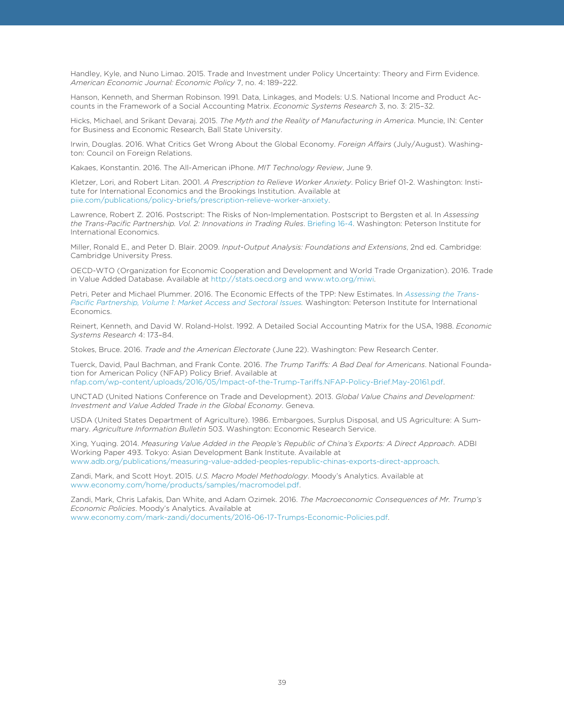Handley, Kyle, and Nuno Limao. 2015. Trade and Investment under Policy Uncertainty: Theory and Firm Evidence. *American Economic Journal: Economic Policy* 7, no. 4: 189–222.

Hanson, Kenneth, and Sherman Robinson. 1991. Data, Linkages, and Models: U.S. National Income and Product Accounts in the Framework of a Social Accounting Matrix. *Economic Systems Research* 3, no. 3: 215–32.

Hicks, Michael, and Srikant Devaraj. 2015. *The Myth and the Reality of Manufacturing in America*. Muncie, IN: Center for Business and Economic Research, Ball State University.

Irwin, Douglas. 2016. What Critics Get Wrong About the Global Economy. *Foreign Affairs* (July/August). Washington: Council on Foreign Relations.

Kakaes, Konstantin. 2016. The All-American iPhone. *MIT Technology Review*, June 9.

Kletzer, Lori, and Robert Litan. 2001. *A Prescription to Relieve Worker Anxiety*. Policy Brief 01-2. Washington: Institute for International Economics and the Brookings Institution. Available at [piie.com/publications/policy-briefs/prescription-relieve-worker-anxiety](https://piie.com/publications/policy-briefs/prescription-relieve-worker-anxiety).

Lawrence, Robert Z. 2016. Postscript: The Risks of Non-Implementation. Postscript to Bergsten et al. In *Assessing the Trans-Pacific Partnership. Vol. 2: Innovations in Trading Rules*. [Briefing 16-4.](https://piie.com/publications/piie-briefings/assessing-trans-pacific-partnership-volume-2-innovations-trading-rules) Washington: Peterson Institute for International Economics.

Miller, Ronald E., and Peter D. Blair. 2009. *Input-Output Analysis: Foundations and Extensions*, 2nd ed. Cambridge: Cambridge University Press.

OECD-WTO (Organization for Economic Cooperation and Development and World Trade Organization). 2016. Trade in Value Added Database. Available at http://stats.oecd.org and www.wto.org/miwi.

Petri, Peter and Michael Plummer. 2016. The Economic Effects of the TPP: New Estimates. In *[Assessing the Trans-](https://piie.com/publications/piie-briefing/assessing-trans-pacific-partnership-volume-1-market-access-and-sectoral)[Pacific Partnership, Volume 1: Market Access and Sectoral Issues.](https://piie.com/publications/piie-briefing/assessing-trans-pacific-partnership-volume-1-market-access-and-sectoral)* Washington: Peterson Institute for International Economics.

Reinert, Kenneth, and David W. Roland-Holst. 1992. A Detailed Social Accounting Matrix for the USA, 1988. *Economic Systems Research* 4: 173–84.

Stokes, Bruce. 2016. *Trade and the American Electorate* (June 22). Washington: Pew Research Center.

Tuerck, David, Paul Bachman, and Frank Conte. 2016. *The Trump Tariffs: A Bad Deal for Americans*. National Foundation for American Policy (NFAP) Policy Brief. Available at [nfap.com/wp-content/uploads/2016/05/Impact-of-the-Trump-Tariffs.NFAP-Policy-Brief.May-20161.pdf.](http://nfap.com/wp-content/uploads/2016/05/Impact-of-the-Trump-Tariffs.NFAP-Policy-Brief.May-20161.pdf)

UNCTAD (United Nations Conference on Trade and Development). 2013. *Global Value Chains and Development: Investment and Value Added Trade in the Global Economy*. Geneva.

USDA (United States Department of Agriculture). 1986. Embargoes, Surplus Disposal, and US Agriculture: A Summary. *Agriculture Information Bulletin* 503. Washington: Economic Research Service.

Xing, Yuqing. 2014. *Measuring Value Added in the People's Republic of China's Exports: A Direct Approach*. ADBI Working Paper 493. Tokyo: Asian Development Bank Institute. Available at www.adb.org/publications/measuring-value-added-peoples-republic-chinas-exports-direct-approach.

Zandi, Mark, and Scott Hoyt. 2015. *U.S. Macro Model Methodology*. Moody's Analytics. Available at www.economy.com/home/products/samples/macromodel.pdf.

Zandi, Mark, Chris Lafakis, Dan White, and Adam Ozimek. 2016. *The Macroeconomic Consequences of Mr. Trump's Economic Policies*. Moody's Analytics. Available at www.economy.com/mark-zandi/documents/2016-06-17-Trumps-Economic-Policies.pdf.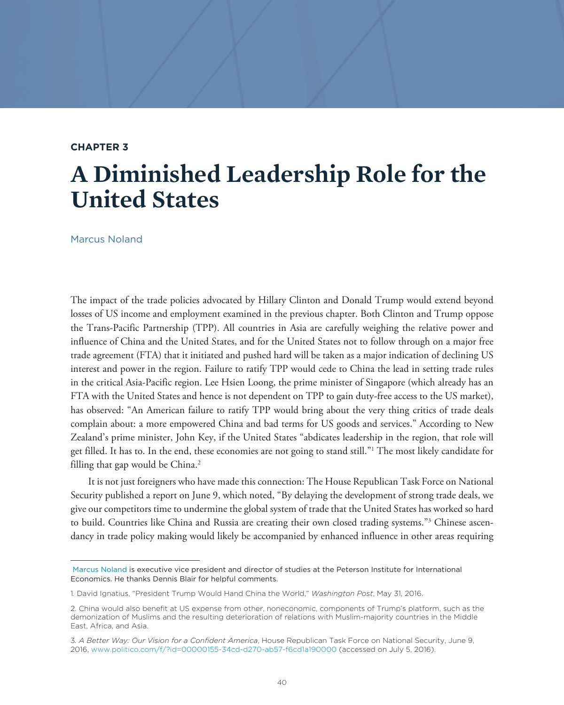#### **CHAPTER 3**

## **A Diminished Leadership Role for the United States**

Marcus Noland

The impact of the trade policies advocated by Hillary Clinton and Donald Trump would extend beyond losses of US income and employment examined in the previous chapter. Both Clinton and Trump oppose the Trans-Pacific Partnership (TPP). All countries in Asia are carefully weighing the relative power and influence of China and the United States, and for the United States not to follow through on a major free trade agreement (FTA) that it initiated and pushed hard will be taken as a major indication of declining US interest and power in the region. Failure to ratify TPP would cede to China the lead in setting trade rules in the critical Asia-Pacific region. Lee Hsien Loong, the prime minister of Singapore (which already has an FTA with the United States and hence is not dependent on TPP to gain duty-free access to the US market), has observed: "An American failure to ratify TPP would bring about the very thing critics of trade deals complain about: a more empowered China and bad terms for US goods and services." According to New Zealand's prime minister, John Key, if the United States "abdicates leadership in the region, that role will get filled. It has to. In the end, these economies are not going to stand still."1 The most likely candidate for filling that gap would be China.<sup>2</sup>

It is not just foreigners who have made this connection: The House Republican Task Force on National Security published a report on June 9, which noted, "By delaying the development of strong trade deals, we give our competitors time to undermine the global system of trade that the United States has worked so hard to build. Countries like China and Russia are creating their own closed trading systems."3 Chinese ascendancy in trade policy making would likely be accompanied by enhanced influence in other areas requiring

[Marcus Noland](https://piie.com/experts/senior-research-staff/marcus-noland) is executive vice president and director of studies at the Peterson Institute for International Economics. He thanks Dennis Blair for helpful comments.

<sup>1</sup>*.* David Ignatius, "President Trump Would Hand China the World," *Washington Post*, May 31, 2016.

<sup>2.</sup> China would also benefit at US expense from other, noneconomic, components of Trump's platform, such as the demonization of Muslims and the resulting deterioration of relations with Muslim-majority countries in the Middle East, Africa, and Asia.

<sup>3</sup>*. A Better Way: Our Vision for a Confident America*, House Republican Task Force on National Security, June 9, 2016, www.politico.com/f/?id=00000155-34cd-d270-ab57-f6cd1a190000 (accessed on July 5, 2016).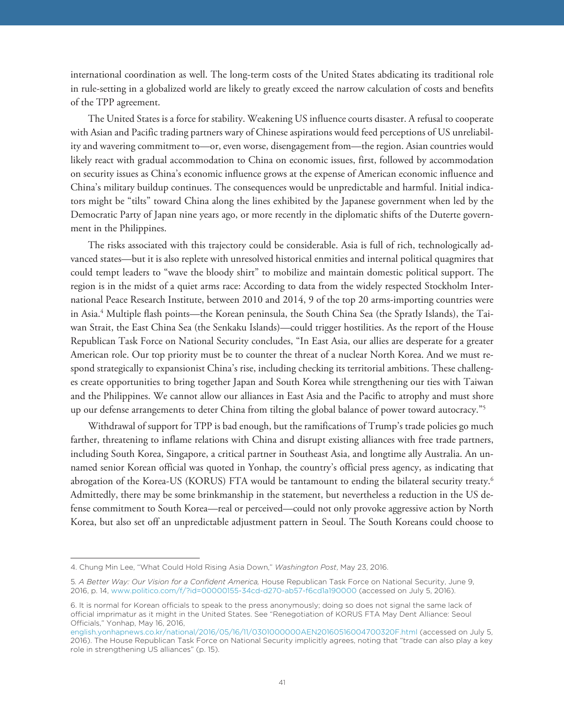international coordination as well. The long-term costs of the United States abdicating its traditional role in rule-setting in a globalized world are likely to greatly exceed the narrow calculation of costs and benefits of the TPP agreement.

The United States is a force for stability. Weakening US influence courts disaster. A refusal to cooperate with Asian and Pacific trading partners wary of Chinese aspirations would feed perceptions of US unreliability and wavering commitment to—or, even worse, disengagement from—the region. Asian countries would likely react with gradual accommodation to China on economic issues, first, followed by accommodation on security issues as China's economic influence grows at the expense of American economic influence and China's military buildup continues. The consequences would be unpredictable and harmful. Initial indicators might be "tilts" toward China along the lines exhibited by the Japanese government when led by the Democratic Party of Japan nine years ago, or more recently in the diplomatic shifts of the Duterte government in the Philippines.

The risks associated with this trajectory could be considerable. Asia is full of rich, technologically advanced states—but it is also replete with unresolved historical enmities and internal political quagmires that could tempt leaders to "wave the bloody shirt" to mobilize and maintain domestic political support. The region is in the midst of a quiet arms race: According to data from the widely respected Stockholm International Peace Research Institute, between 2010 and 2014, 9 of the top 20 arms-importing countries were in Asia.4 Multiple flash points—the Korean peninsula, the South China Sea (the Spratly Islands), the Taiwan Strait, the East China Sea (the Senkaku Islands)—could trigger hostilities. As the report of the House Republican Task Force on National Security concludes, "In East Asia, our allies are desperate for a greater American role. Our top priority must be to counter the threat of a nuclear North Korea. And we must respond strategically to expansionist China's rise, including checking its territorial ambitions. These challenges create opportunities to bring together Japan and South Korea while strengthening our ties with Taiwan and the Philippines. We cannot allow our alliances in East Asia and the Pacific to atrophy and must shore up our defense arrangements to deter China from tilting the global balance of power toward autocracy."5

Withdrawal of support for TPP is bad enough, but the ramifications of Trump's trade policies go much farther, threatening to inflame relations with China and disrupt existing alliances with free trade partners, including South Korea, Singapore, a critical partner in Southeast Asia, and longtime ally Australia. An unnamed senior Korean official was quoted in Yonhap, the country's official press agency, as indicating that abrogation of the Korea-US (KORUS) FTA would be tantamount to ending the bilateral security treaty.6 Admittedly, there may be some brinkmanship in the statement, but nevertheless a reduction in the US defense commitment to South Korea—real or perceived—could not only provoke aggressive action by North Korea, but also set off an unpredictable adjustment pattern in Seoul. The South Koreans could choose to

<sup>4.</sup> Chung Min Lee, "What Could Hold Rising Asia Down," *Washington Post*, May 23, 2016.

<sup>5</sup>*. A Better Way: Our Vision for a Confident America,* House Republican Task Force on National Security, June 9, 2016, p. 14, www.politico.com/f/?id=00000155-34cd-d270-ab57-f6cd1a190000 (accessed on July 5, 2016).

<sup>6.</sup> It is normal for Korean officials to speak to the press anonymously; doing so does not signal the same lack of official imprimatur as it might in the United States. See "Renegotiation of KORUS FTA May Dent Alliance: Seoul Officials," Yonhap, May 16, 2016,

[english.yonhapnews.co.kr/national/2016/05/16/11/0301000000AEN20160516004700320F.html](http://english.yonhapnews.co.kr/national/2016/05/16/11/0301000000AEN20160516004700320F.html) (accessed on July 5, 2016). The House Republican Task Force on National Security implicitly agrees, noting that "trade can also play a key role in strengthening US alliances" (p. 15).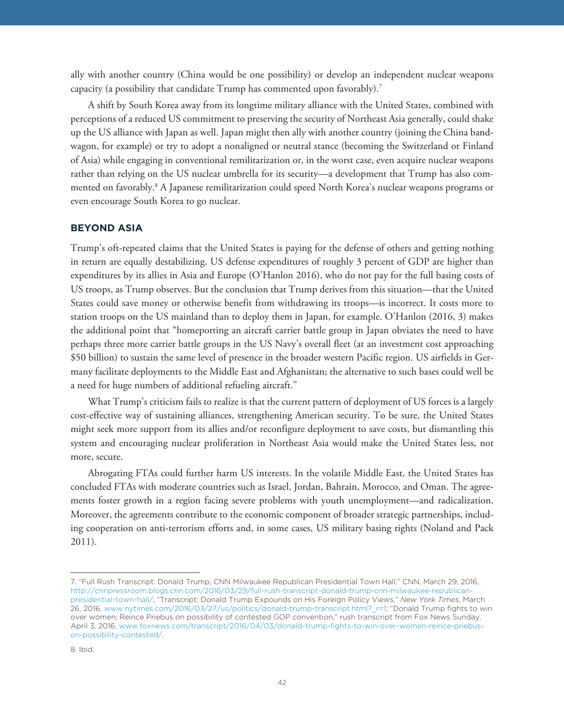ally with another country (China would be one possibility) or develop an independent nuclear weapons capacity (a possibility that candidate Trump has commented upon favorably).7

A shift by South Korea away from its longtime military alliance with the United States, combined with perceptions of a reduced US commitment to preserving the security of Northeast Asia generally, could shake up the US alliance with Japan as well. Japan might then ally with another country (joining the China bandwagon, for example) or try to adopt a nonaligned or neutral stance (becoming the Switzerland or Finland of Asia) while engaging in conventional remilitarization or, in the worst case, even acquire nuclear weapons rather than relying on the US nuclear umbrella for its security—a development that Trump has also commented on favorably.8 A Japanese remilitarization could speed North Korea's nuclear weapons programs or even encourage South Korea to go nuclear.

### **BEYOND ASIA**

Trump's oft-repeated claims that the United States is paying for the defense of others and getting nothing in return are equally destabilizing. US defense expenditures of roughly 3 percent of GDP are higher than expenditures by its allies in Asia and Europe (O'Hanlon 2016), who do not pay for the full basing costs of US troops, as Trump observes. But the conclusion that Trump derives from this situation—that the United States could save money or otherwise benefit from withdrawing its troops—is incorrect. It costs more to station troops on the US mainland than to deploy them in Japan, for example. O'Hanlon (2016, 3) makes the additional point that "homeporting an aircraft carrier battle group in Japan obviates the need to have perhaps three more carrier battle groups in the US Navy's overall fleet (at an investment cost approaching \$50 billion) to sustain the same level of presence in the broader western Pacific region. US airfields in Germany facilitate deployments to the Middle East and Afghanistan; the alternative to such bases could well be a need for huge numbers of additional refueling aircraft."

What Trump's criticism fails to realize is that the current pattern of deployment of US forces is a largely cost-effective way of sustaining alliances, strengthening American security. To be sure, the United States might seek more support from its allies and/or reconfigure deployment to save costs, but dismantling this system and encouraging nuclear proliferation in Northeast Asia would make the United States less, not more, secure.

Abrogating FTAs could further harm US interests. In the volatile Middle East, the United States has concluded FTAs with moderate countries such as Israel, Jordan, Bahrain, Morocco, and Oman. The agreements foster growth in a region facing severe problems with youth unemployment—and radicalization. Moreover, the agreements contribute to the economic component of broader strategic partnerships, including cooperation on anti-terrorism efforts and, in some cases, US military basing rights (Noland and Pack 2011).

<sup>7. &</sup>quot;Full Rush Transcript: Donald Trump, CNN Milwaukee Republican Presidential Town Hall," CNN, March 29, 2016, [http://cnnpressroom.blogs.cnn.com/2016/03/29/full-rush-transcript-donald-trump-cnn-milwaukee-republican](http://cnnpressroom.blogs.cnn.com/2016/03/29/full-rush-transcript-donald-trump-cnn-milwaukee-republican-presidential-town-hall/)[presidential-town-hall/](http://cnnpressroom.blogs.cnn.com/2016/03/29/full-rush-transcript-donald-trump-cnn-milwaukee-republican-presidential-town-hall/); "Transcript: Donald Trump Expounds on His Foreign Policy Views," *New York Times*, March 26, 2016, www.nytimes.com/2016/03/27/us/politics/donald-trump-transcript.html?\_r=1; "Donald Trump fights to win over women; Reince Priebus on possibility of contested GOP convention," rush transcript from Fox News Sunday, April 3, 2016, [www.foxnews.com/transcript/2016/04/03/donald-trump-fights-to-win-over-women-reince-priebus](www.foxnews.com/transcript/2016/04/03/donald-trump-fights-to-win-over-women-reince-priebus-on-possibility-contested/)[on-possibility-contested/](www.foxnews.com/transcript/2016/04/03/donald-trump-fights-to-win-over-women-reince-priebus-on-possibility-contested/).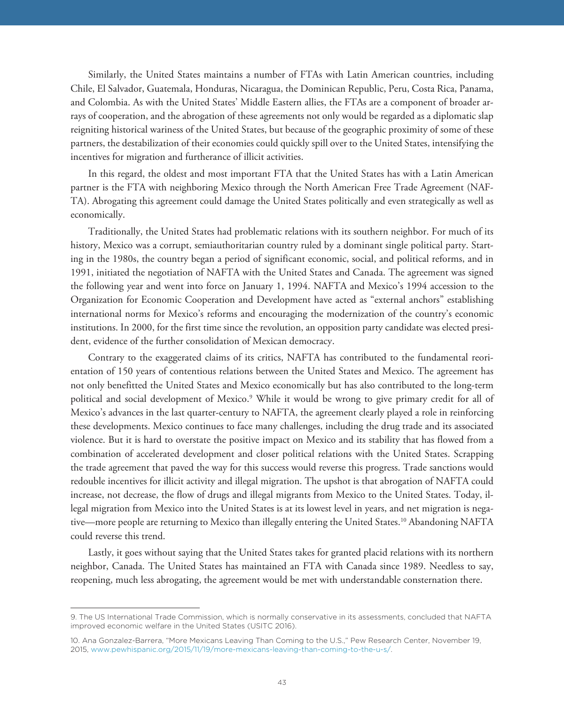Similarly, the United States maintains a number of FTAs with Latin American countries, including Chile, El Salvador, Guatemala, Honduras, Nicaragua, the Dominican Republic, Peru, Costa Rica, Panama, and Colombia. As with the United States' Middle Eastern allies, the FTAs are a component of broader arrays of cooperation, and the abrogation of these agreements not only would be regarded as a diplomatic slap reigniting historical wariness of the United States, but because of the geographic proximity of some of these partners, the destabilization of their economies could quickly spill over to the United States, intensifying the incentives for migration and furtherance of illicit activities.

In this regard, the oldest and most important FTA that the United States has with a Latin American partner is the FTA with neighboring Mexico through the North American Free Trade Agreement (NAF-TA). Abrogating this agreement could damage the United States politically and even strategically as well as economically.

Traditionally, the United States had problematic relations with its southern neighbor. For much of its history, Mexico was a corrupt, semiauthoritarian country ruled by a dominant single political party. Starting in the 1980s, the country began a period of significant economic, social, and political reforms, and in 1991, initiated the negotiation of NAFTA with the United States and Canada. The agreement was signed the following year and went into force on January 1, 1994. NAFTA and Mexico's 1994 accession to the Organization for Economic Cooperation and Development have acted as "external anchors" establishing international norms for Mexico's reforms and encouraging the modernization of the country's economic institutions. In 2000, for the first time since the revolution, an opposition party candidate was elected president, evidence of the further consolidation of Mexican democracy.

Contrary to the exaggerated claims of its critics, NAFTA has contributed to the fundamental reorientation of 150 years of contentious relations between the United States and Mexico. The agreement has not only benefitted the United States and Mexico economically but has also contributed to the long-term political and social development of Mexico.<sup>9</sup> While it would be wrong to give primary credit for all of Mexico's advances in the last quarter-century to NAFTA, the agreement clearly played a role in reinforcing these developments. Mexico continues to face many challenges, including the drug trade and its associated violence. But it is hard to overstate the positive impact on Mexico and its stability that has flowed from a combination of accelerated development and closer political relations with the United States. Scrapping the trade agreement that paved the way for this success would reverse this progress. Trade sanctions would redouble incentives for illicit activity and illegal migration. The upshot is that abrogation of NAFTA could increase, not decrease, the flow of drugs and illegal migrants from Mexico to the United States. Today, illegal migration from Mexico into the United States is at its lowest level in years, and net migration is negative—more people are returning to Mexico than illegally entering the United States.10 Abandoning NAFTA could reverse this trend.

Lastly, it goes without saying that the United States takes for granted placid relations with its northern neighbor, Canada. The United States has maintained an FTA with Canada since 1989. Needless to say, reopening, much less abrogating, the agreement would be met with understandable consternation there.

<sup>9.</sup> The US International Trade Commission, which is normally conservative in its assessments, concluded that NAFTA improved economic welfare in the United States (USITC 2016).

<sup>10.</sup> Ana Gonzalez-Barrera, "More Mexicans Leaving Than Coming to the U.S.," Pew Research Center, November 19, 2015, www.pewhispanic.org/2015/11/19/more-mexicans-leaving-than-coming-to-the-u-s/.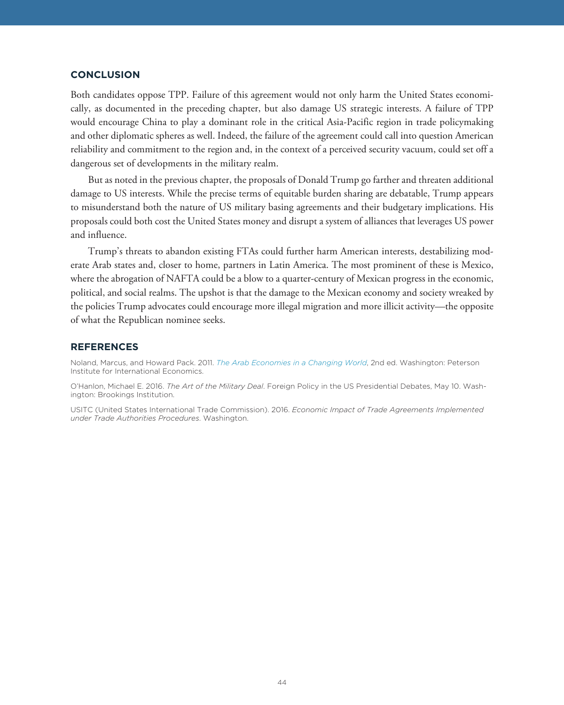Both candidates oppose TPP. Failure of this agreement would not only harm the United States economically, as documented in the preceding chapter, but also damage US strategic interests. A failure of TPP would encourage China to play a dominant role in the critical Asia-Pacific region in trade policymaking and other diplomatic spheres as well. Indeed, the failure of the agreement could call into question American reliability and commitment to the region and, in the context of a perceived security vacuum, could set off a dangerous set of developments in the military realm.

But as noted in the previous chapter, the proposals of Donald Trump go farther and threaten additional damage to US interests. While the precise terms of equitable burden sharing are debatable, Trump appears to misunderstand both the nature of US military basing agreements and their budgetary implications. His proposals could both cost the United States money and disrupt a system of alliances that leverages US power and influence.

Trump's threats to abandon existing FTAs could further harm American interests, destabilizing moderate Arab states and, closer to home, partners in Latin America. The most prominent of these is Mexico, where the abrogation of NAFTA could be a blow to a quarter-century of Mexican progress in the economic, political, and social realms. The upshot is that the damage to the Mexican economy and society wreaked by the policies Trump advocates could encourage more illegal migration and more illicit activity—the opposite of what the Republican nominee seeks.

#### **REFERENCES**

**REFERENCES** Noland, Marcus, and Howard Pack. 2011. *[The Arab Economies in a Changing World](http://bookstore.piie.com/book-store/6284.html)*, 2nd ed. Washington: Peterson Institute for International Economics.

O'Hanlon, Michael E. 2016. *The Art of the Military Deal*. Foreign Policy in the US Presidential Debates, May 10. Washington: Brookings Institution.

USITC (United States International Trade Commission). 2016. *Economic Impact of Trade Agreements Implemented under Trade Authorities Procedures*. Washington.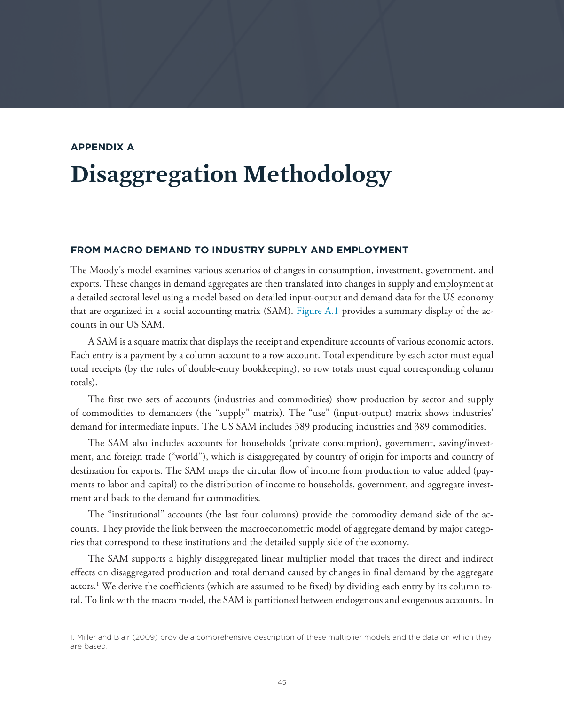## <span id="page-44-0"></span>**APPENDIX A Disaggregation Methodology**

The Moody's model examines various scenarios of changes in consumption, investment, government, and exports. These changes in demand aggregates are then translated into changes in supply and employment at a detailed sectoral level using a model based on detailed input-output and demand data for the US economy that are organized in a social accounting matrix (SAM). [Figure A.1](#page-45-0) provides a summary display of the accounts in our US SAM.

A SAM is a square matrix that displays the receipt and expenditure accounts of various economic actors. Each entry is a payment by a column account to a row account. Total expenditure by each actor must equal total receipts (by the rules of double-entry bookkeeping), so row totals must equal corresponding column totals).

The first two sets of accounts (industries and commodities) show production by sector and supply of commodities to demanders (the "supply" matrix). The "use" (input-output) matrix shows industries' demand for intermediate inputs. The US SAM includes 389 producing industries and 389 commodities.

The SAM also includes accounts for households (private consumption), government, saving/investment, and foreign trade ("world"), which is disaggregated by country of origin for imports and country of destination for exports. The SAM maps the circular flow of income from production to value added (payments to labor and capital) to the distribution of income to households, government, and aggregate investment and back to the demand for commodities.

The "institutional" accounts (the last four columns) provide the commodity demand side of the accounts. They provide the link between the macroeconometric model of aggregate demand by major categories that correspond to these institutions and the detailed supply side of the economy.

The SAM supports a highly disaggregated linear multiplier model that traces the direct and indirect effects on disaggregated production and total demand caused by changes in final demand by the aggregate actors.1 We derive the coefficients (which are assumed to be fixed) by dividing each entry by its column total. To link with the macro model, the SAM is partitioned between endogenous and exogenous accounts. In

<sup>1.</sup> Miller and Blair (2009) provide a comprehensive description of these multiplier models and the data on which they are based.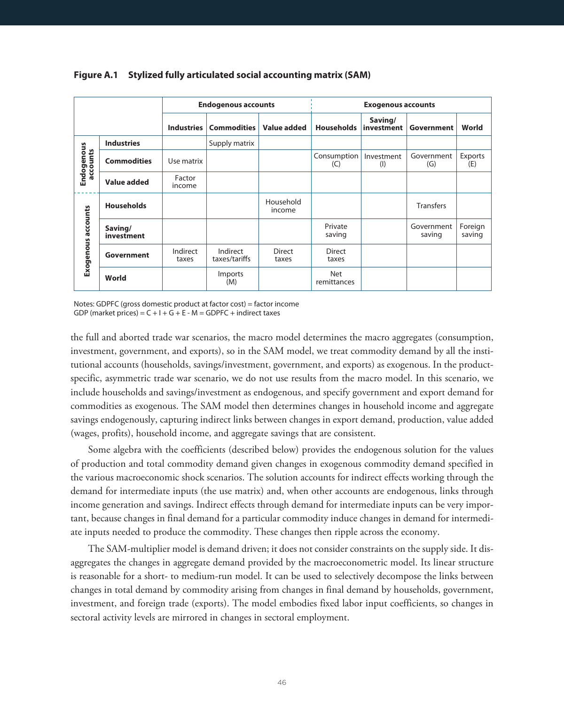|                        |                       | <b>Endogenous accounts</b> |                           |                        | <b>Exogenous accounts</b> |                       |                      |                   |
|------------------------|-----------------------|----------------------------|---------------------------|------------------------|---------------------------|-----------------------|----------------------|-------------------|
|                        |                       | Industries                 | Commodities               | Value added            | Households                | Saving/<br>investment | Government           | World             |
|                        | <b>Industries</b>     |                            | Supply matrix             |                        |                           |                       |                      |                   |
| Endogenous<br>accounts | <b>Commodities</b>    | Use matrix                 |                           |                        | Consumption<br>(C)        | Investment<br>(1)     | Government<br>(G)    | Exports<br>(E)    |
|                        | Value added           | Factor<br>income           |                           |                        |                           |                       |                      |                   |
|                        | <b>Households</b>     |                            |                           | Household<br>income    |                           |                       | <b>Transfers</b>     |                   |
| Exogenous accounts     | Saving/<br>investment |                            |                           |                        | Private<br>saving         |                       | Government<br>saving | Foreign<br>saving |
|                        | Government            | Indirect<br>taxes          | Indirect<br>taxes/tariffs | <b>Direct</b><br>taxes | <b>Direct</b><br>taxes    |                       |                      |                   |
|                        | World                 |                            | Imports<br>(M)            |                        | Net<br>remittances        |                       |                      |                   |

#### <span id="page-45-0"></span>**Figure A.1 Stylized fully articulated social accounting matrix (SAM)**

Notes: GDPFC (gross domestic product at factor cost) = factor income GDP (market prices) =  $C + I + G + E - M = GDPFC + indirect$  taxes

the full and aborted trade war scenarios, the macro model determines the macro aggregates (consumption, investment, government, and exports), so in the SAM model, we treat commodity demand by all the institutional accounts (households, savings/investment, government, and exports) as exogenous. In the productspecific, asymmetric trade war scenario, we do not use results from the macro model. In this scenario, we include households and savings/investment as endogenous, and specify government and export demand for commodities as exogenous. The SAM model then determines changes in household income and aggregate savings endogenously, capturing indirect links between changes in export demand, production, value added (wages, profits), household income, and aggregate savings that are consistent.

Some algebra with the coefficients (described below) provides the endogenous solution for the values of production and total commodity demand given changes in exogenous commodity demand specified in the various macroeconomic shock scenarios. The solution accounts for indirect effects working through the demand for intermediate inputs (the use matrix) and, when other accounts are endogenous, links through income generation and savings. Indirect effects through demand for intermediate inputs can be very important, because changes in final demand for a particular commodity induce changes in demand for intermediate inputs needed to produce the commodity. These changes then ripple across the economy.

The SAM-multiplier model is demand driven; it does not consider constraints on the supply side. It disaggregates the changes in aggregate demand provided by the macroeconometric model. Its linear structure is reasonable for a short- to medium-run model. It can be used to selectively decompose the links between changes in total demand by commodity arising from changes in final demand by households, government, investment, and foreign trade (exports). The model embodies fixed labor input coefficients, so changes in sectoral activity levels are mirrored in changes in sectoral employment.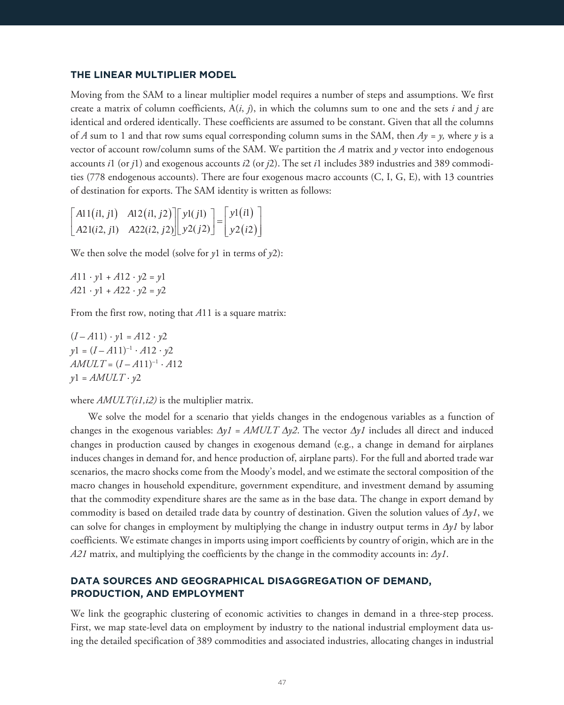Moving from the SAM to a linear multiplier model requires a number of steps and assumptions. We first create a matrix of column coefficients,  $A(i, j)$ , in which the columns sum to one and the sets *i* and *j* are identical and ordered identically. These coefficients are assumed to be constant. Given that all the columns of *A* sum to 1 and that row sums equal corresponding column sums in the SAM, then *Ay = y,* where *y* is a vector of account row/column sums of the SAM. We partition the *A* matrix and *y* vector into endogenous accounts *i*1 (or *j*1) and exogenous accounts *i*2 (or *j*2). The set *i*1 includes 389 industries and 389 commodities (778 endogenous accounts). There are four exogenous macro accounts (C, I, G, E), with 13 countries of destination for exports. The SAM identity is written as follows:

| $\begin{bmatrix} A11(iI, jI) & A12(iI, j2) \end{bmatrix} \begin{bmatrix} y1(jI) \end{bmatrix} = \begin{bmatrix} y1(iI) \end{bmatrix}$ |  |  |
|---------------------------------------------------------------------------------------------------------------------------------------|--|--|
| $\left\lfloor A21(i2,j1) \quad A22(i2,j2) \right\rfloor \left\lfloor y2(j2) \right\rfloor = \left\lfloor y2(i2) \right\rfloor$        |  |  |

We then solve the model (solve for *y*1 in terms of *y*2):

 $A11 \cdot y1 + A12 \cdot y2 = y1$  $A21 \cdot y1 + A22 \cdot y2 = y2$ 

From the first row, noting that *A*11 is a square matrix:

 $(I - A11) \cdot y1 = A12 \cdot y2$  $\gamma$ 1 =  $(I - A11)^{-1} \cdot A12 \cdot \gamma$ 2  $AMULT = (I - A11)^{-1} \cdot A12$  $y1 = AMULT \cdot y2$ 

where  $AMULT(i1,i2)$  is the multiplier matrix.

We solve the model for a scenario that yields changes in the endogenous variables as a function of changes in the exogenous variables:  $\Delta yI = AMULT \Delta y2$ . The vector  $\Delta yI$  includes all direct and induced changes in production caused by changes in exogenous demand (e.g., a change in demand for airplanes induces changes in demand for, and hence production of, airplane parts). For the full and aborted trade war scenarios, the macro shocks come from the Moody's model, and we estimate the sectoral composition of the macro changes in household expenditure, government expenditure, and investment demand by assuming that the commodity expenditure shares are the same as in the base data. The change in export demand by commodity is based on detailed trade data by country of destination. Given the solution values of  $\Delta y l$ , we can solve for changes in employment by multiplying the change in industry output terms in  $\Delta yI$  by labor coefficients. We estimate changes in imports using import coefficients by country of origin, which are in the *A21* matrix, and multiplying the coefficients by the change in the commodity accounts in: *Δy1*.

#### DATA SOURCES AND GEOGRAPHICAL DISAGGREGATION OF DEMAND. **PRODUCTION, AND EMPLOYMENT PRODUCTION, AND EMPLOYMENT**

We link the geographic clustering of economic activities to changes in demand in a three-step process. First, we map state-level data on employment by industry to the national industrial employment data using the detailed specification of 389 commodities and associated industries, allocating changes in industrial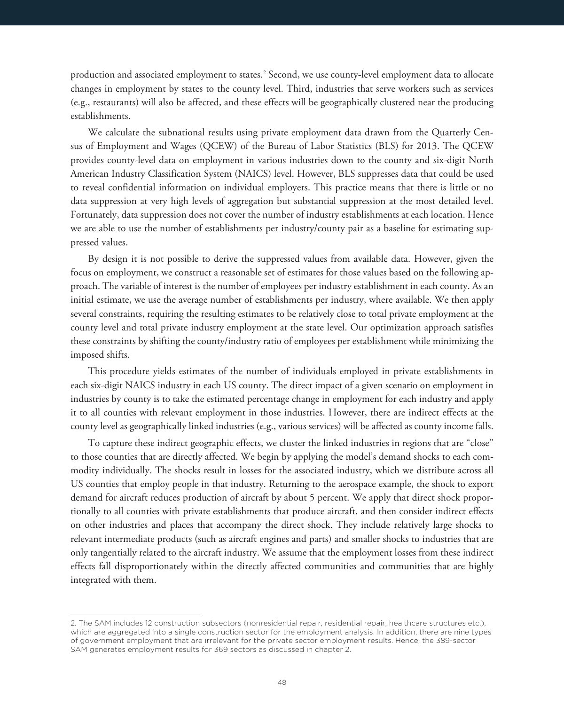production and associated employment to states.<sup>2</sup> Second, we use county-level employment data to allocate changes in employment by states to the county level. Third, industries that serve workers such as services (e.g., restaurants) will also be affected, and these effects will be geographically clustered near the producing establishments.

We calculate the subnational results using private employment data drawn from the Quarterly Census of Employment and Wages (QCEW) of the Bureau of Labor Statistics (BLS) for 2013. The QCEW provides county-level data on employment in various industries down to the county and six*-*digit North American Industry Classification System (NAICS) level. However, BLS suppresses data that could be used to reveal confidential information on individual employers. This practice means that there is little or no data suppression at very high levels of aggregation but substantial suppression at the most detailed level. Fortunately, data suppression does not cover the number of industry establishments at each location. Hence we are able to use the number of establishments per industry/county pair as a baseline for estimating suppressed values.

By design it is not possible to derive the suppressed values from available data. However, given the focus on employment, we construct a reasonable set of estimates for those values based on the following approach. The variable of interest is the number of employees per industry establishment in each county. As an initial estimate, we use the average number of establishments per industry, where available. We then apply several constraints, requiring the resulting estimates to be relatively close to total private employment at the county level and total private industry employment at the state level. Our optimization approach satisfies these constraints by shifting the county/industry ratio of employees per establishment while minimizing the imposed shifts.

This procedure yields estimates of the number of individuals employed in private establishments in each six-digit NAICS industry in each US county. The direct impact of a given scenario on employment in industries by county is to take the estimated percentage change in employment for each industry and apply it to all counties with relevant employment in those industries. However, there are indirect effects at the county level as geographically linked industries (e.g., various services) will be affected as county income falls.

To capture these indirect geographic effects, we cluster the linked industries in regions that are "close" to those counties that are directly affected. We begin by applying the model's demand shocks to each commodity individually. The shocks result in losses for the associated industry, which we distribute across all US counties that employ people in that industry. Returning to the aerospace example, the shock to export demand for aircraft reduces production of aircraft by about 5 percent. We apply that direct shock proportionally to all counties with private establishments that produce aircraft, and then consider indirect effects on other industries and places that accompany the direct shock. They include relatively large shocks to relevant intermediate products (such as aircraft engines and parts) and smaller shocks to industries that are only tangentially related to the aircraft industry. We assume that the employment losses from these indirect effects fall disproportionately within the directly affected communities and communities that are highly integrated with them.

<sup>2.</sup> The SAM includes 12 construction subsectors (nonresidential repair, residential repair, healthcare structures etc.), which are aggregated into a single construction sector for the employment analysis. In addition, there are nine types of government employment that are irrelevant for the private sector employment results. Hence, the 389-sector SAM generates employment results for 369 sectors as discussed in chapter 2.